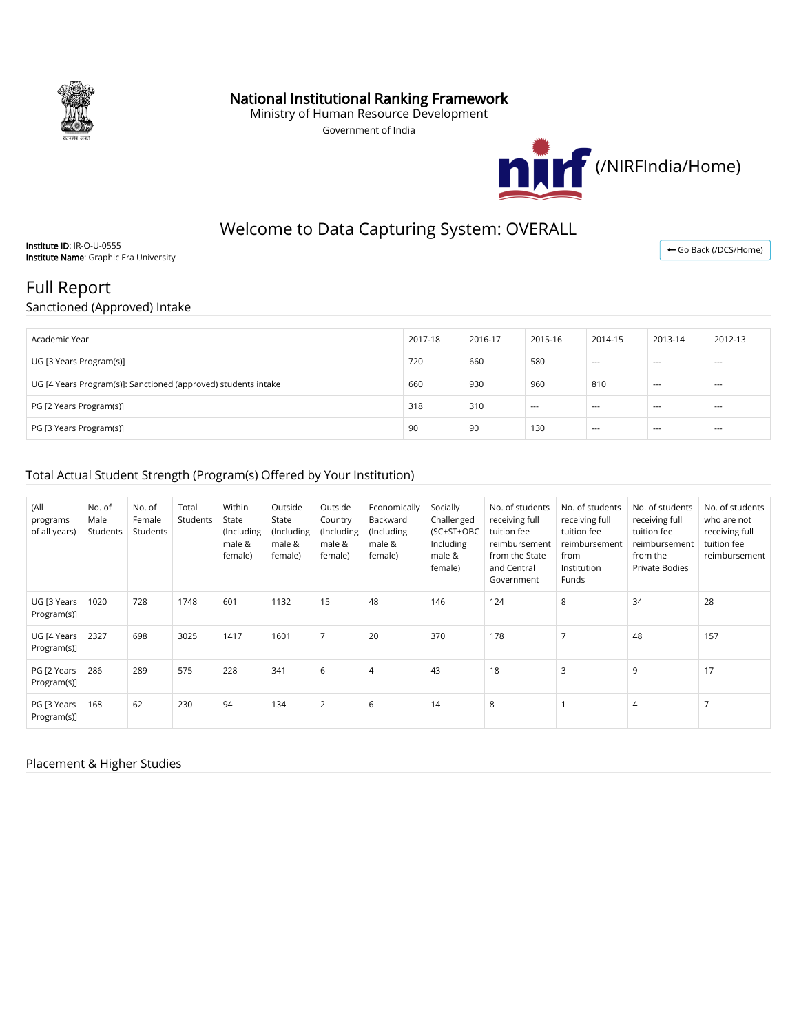

## National Institutional Ranking Framework

Ministry of Human Resource Development

Government of India



# Welcome to Data Capturing System: OVERALL

Institute ID: IR-O-U-0555 Institute Name: Graphic Era University

← [Go Back \(/DCS/Home\)](http://login.nirfindia.org/DCS/Home)

## Full Report

Sanctioned (Approved) Intake

| Academic Year                                                  | 2017-18 | 2016-17 | 2015-16 | 2014-15                  | 2013-14 | 2012-13 |
|----------------------------------------------------------------|---------|---------|---------|--------------------------|---------|---------|
| UG [3 Years Program(s)]                                        | 720     | 660     | 580     | $---$                    | $- - -$ | $--$    |
| UG [4 Years Program(s)]: Sanctioned (approved) students intake | 660     | 930     | 960     | 810                      | $- - -$ | $- - -$ |
| PG [2 Years Program(s)]                                        | 318     | 310     | $- - -$ | $\hspace{0.05cm} \ldots$ | $- - -$ | $--$    |
| PG [3 Years Program(s)]                                        | 90      | 90      | 130     | $--$                     | $- - -$ | $--$    |

#### Total Actual Student Strength (Program(s) Offered by Your Institution)

| (All<br>programs<br>of all years) | No. of<br>Male<br>Students | No. of<br>Female<br>Students | Total<br>Students | Within<br>State<br>(Including<br>male &<br>female) | Outside<br>State<br>(Including<br>male &<br>female) | Outside<br>Country<br>(Including<br>male &<br>female) | Economically<br>Backward<br>(Including<br>male &<br>female) | Socially<br>Challenged<br>(SC+ST+OBC<br>Including<br>male &<br>female) | No. of students<br>receiving full<br>tuition fee<br>reimbursement<br>from the State<br>and Central<br>Government | No. of students<br>receiving full<br>tuition fee<br>reimbursement<br>from<br>Institution<br>Funds | No. of students<br>receiving full<br>tuition fee<br>reimbursement<br>from the<br><b>Private Bodies</b> | No. of students<br>who are not<br>receiving full<br>tuition fee<br>reimbursement |
|-----------------------------------|----------------------------|------------------------------|-------------------|----------------------------------------------------|-----------------------------------------------------|-------------------------------------------------------|-------------------------------------------------------------|------------------------------------------------------------------------|------------------------------------------------------------------------------------------------------------------|---------------------------------------------------------------------------------------------------|--------------------------------------------------------------------------------------------------------|----------------------------------------------------------------------------------|
| UG [3 Years<br>Program(s)]        | 1020                       | 728                          | 1748              | 601                                                | 1132                                                | 15                                                    | 48                                                          | 146                                                                    | 124                                                                                                              | 8                                                                                                 | 34                                                                                                     | 28                                                                               |
| UG [4 Years<br>Program(s)]        | 2327                       | 698                          | 3025              | 1417                                               | 1601                                                | $\overline{7}$                                        | 20                                                          | 370                                                                    | 178                                                                                                              | $\overline{7}$                                                                                    | 48                                                                                                     | 157                                                                              |
| PG [2 Years<br>Program(s)]        | 286                        | 289                          | 575               | 228                                                | 341                                                 | 6                                                     | $\overline{4}$                                              | 43                                                                     | 18                                                                                                               | 3                                                                                                 | 9                                                                                                      | 17                                                                               |
| PG [3 Years<br>Program(s)]        | 168                        | 62                           | 230               | 94                                                 | 134                                                 | $\overline{2}$                                        | 6                                                           | 14                                                                     | 8                                                                                                                |                                                                                                   | $\overline{4}$                                                                                         |                                                                                  |

#### Placement & Higher Studies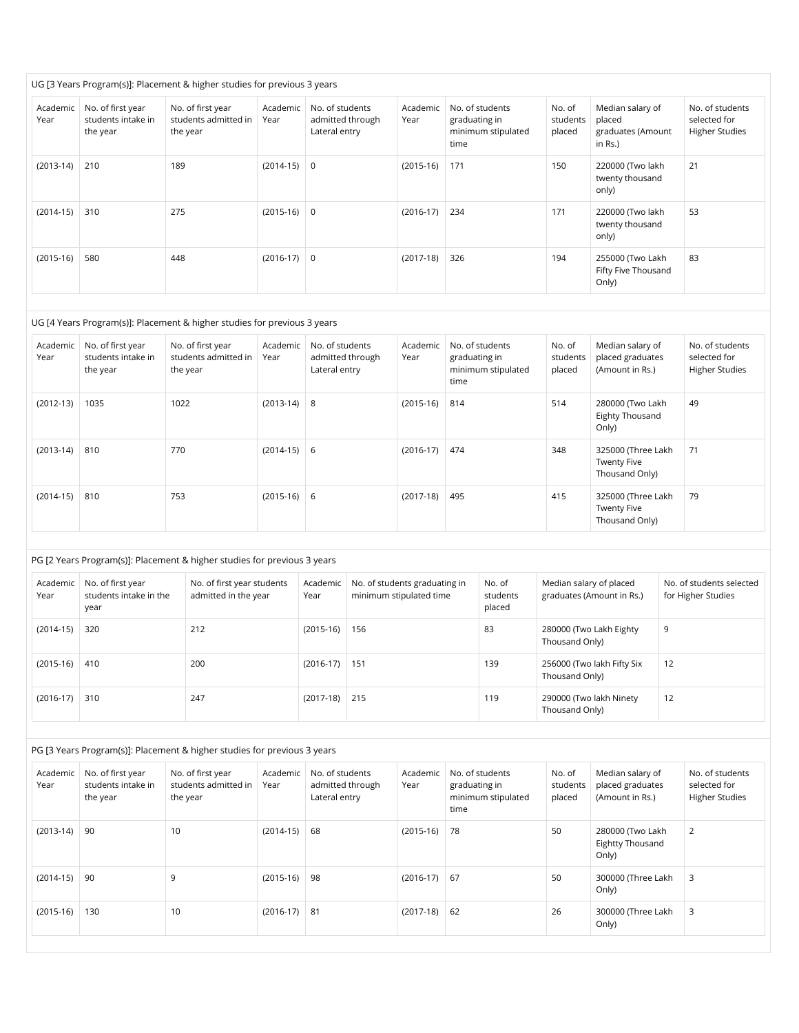|                  | UG [3 Years Program(s)]: Placement & higher studies for previous 3 years |                                                       |                  |                                                      |                  |                                                                |                              |                                                            |                                                          |  |
|------------------|--------------------------------------------------------------------------|-------------------------------------------------------|------------------|------------------------------------------------------|------------------|----------------------------------------------------------------|------------------------------|------------------------------------------------------------|----------------------------------------------------------|--|
| Academic<br>Year | No. of first year<br>students intake in<br>the year                      | No. of first year<br>students admitted in<br>the year | Academic<br>Year | No. of students<br>admitted through<br>Lateral entry | Academic<br>Year | No. of students<br>graduating in<br>minimum stipulated<br>time | No. of<br>students<br>placed | Median salary of<br>placed<br>graduates (Amount<br>in Rs.) | No. of students<br>selected for<br><b>Higher Studies</b> |  |
| $(2013-14)$      | 210                                                                      | 189                                                   | $(2014-15)$ 0    |                                                      | $(2015-16)$      | 171                                                            | 150                          | 220000 (Two lakh<br>twenty thousand<br>only)               | 21                                                       |  |
| $(2014-15)$      | 310                                                                      | 275                                                   | $(2015-16)$ 0    |                                                      | $(2016-17)$      | 234                                                            | 171                          | 220000 (Two lakh<br>twenty thousand<br>only)               | 53                                                       |  |
| $(2015-16)$      | 580                                                                      | 448                                                   | $(2016-17)$ 0    |                                                      | $(2017-18)$      | 326                                                            | 194                          | 255000 (Two Lakh<br>Fifty Five Thousand<br>Only)           | 83                                                       |  |

|                  | UG [4 Years Program(s)]: Placement & higher studies for previous 3 years |                                                       |                  |                                                      |                  |                                                                |                              |                                                            |                                                          |  |
|------------------|--------------------------------------------------------------------------|-------------------------------------------------------|------------------|------------------------------------------------------|------------------|----------------------------------------------------------------|------------------------------|------------------------------------------------------------|----------------------------------------------------------|--|
| Academic<br>Year | No. of first year<br>students intake in<br>the year                      | No. of first year<br>students admitted in<br>the year | Academic<br>Year | No. of students<br>admitted through<br>Lateral entry | Academic<br>Year | No. of students<br>graduating in<br>minimum stipulated<br>time | No. of<br>students<br>placed | Median salary of<br>placed graduates<br>(Amount in Rs.)    | No. of students<br>selected for<br><b>Higher Studies</b> |  |
| $(2012-13)$      | 1035                                                                     | 1022                                                  | $(2013-14)$ 8    |                                                      | $(2015-16)$      | 814                                                            | 514                          | 280000 (Two Lakh<br>Eighty Thousand<br>Only)               | 49                                                       |  |
| $(2013-14)$      | 810                                                                      | 770                                                   | $(2014-15)$ 6    |                                                      | $(2016-17)$      | 474                                                            | 348                          | 325000 (Three Lakh<br><b>Twenty Five</b><br>Thousand Only) | 71                                                       |  |
| $(2014-15)$      | 810                                                                      | 753                                                   | $(2015-16)$ 6    |                                                      | $(2017-18)$      | 495                                                            | 415                          | 325000 (Three Lakh<br><b>Twenty Five</b><br>Thousand Only) | 79                                                       |  |

| PG [2 Years Program(s)]: Placement & higher studies for previous 3 years |                                                     |                                                    |                  |                                                          |                              |                                                      |                                                |  |  |
|--------------------------------------------------------------------------|-----------------------------------------------------|----------------------------------------------------|------------------|----------------------------------------------------------|------------------------------|------------------------------------------------------|------------------------------------------------|--|--|
| Academic<br>Year                                                         | No. of first year<br>students intake in the<br>year | No. of first year students<br>admitted in the year | Academic<br>Year | No. of students graduating in<br>minimum stipulated time | No. of<br>students<br>placed | Median salary of placed<br>graduates (Amount in Rs.) | No. of students selected<br>for Higher Studies |  |  |
| $(2014-15)$                                                              | 320                                                 | 212                                                | $(2015-16)$      | 156                                                      | 83                           | 280000 (Two Lakh Eighty<br>Thousand Only)            | 9                                              |  |  |
| $(2015-16)$                                                              | 410                                                 | 200                                                | $(2016-17)$      | 151                                                      | 139                          | 256000 (Two lakh Fifty Six<br>Thousand Only)         | 12                                             |  |  |
| $(2016-17)$                                                              | 310                                                 | 247                                                | $(2017-18)$      | 215                                                      | 119                          | 290000 (Two lakh Ninety<br>Thousand Only)            | 12                                             |  |  |

|                  | PG [3 Years Program(s)]: Placement & higher studies for previous 3 years |                                                       |                  |                                                      |                  |                                                                |                              |                                                         |                                                          |  |
|------------------|--------------------------------------------------------------------------|-------------------------------------------------------|------------------|------------------------------------------------------|------------------|----------------------------------------------------------------|------------------------------|---------------------------------------------------------|----------------------------------------------------------|--|
| Academic<br>Year | No. of first year<br>students intake in<br>the year                      | No. of first year<br>students admitted in<br>the year | Academic<br>Year | No. of students<br>admitted through<br>Lateral entry | Academic<br>Year | No. of students<br>graduating in<br>minimum stipulated<br>time | No. of<br>students<br>placed | Median salary of<br>placed graduates<br>(Amount in Rs.) | No. of students<br>selected for<br><b>Higher Studies</b> |  |
| $(2013-14)$      | 90                                                                       | 10                                                    | $(2014-15)$      | 68                                                   | $(2015-16)$      | 78                                                             | 50                           | 280000 (Two Lakh<br><b>Eightty Thousand</b><br>Only)    | 2                                                        |  |
| $(2014-15)$      | 90                                                                       | 9                                                     | $(2015-16)$      | 98                                                   | $(2016-17)$      | 67                                                             | 50                           | 300000 (Three Lakh<br>Only)                             | 3                                                        |  |
| $(2015-16)$      | 130                                                                      | 10                                                    | $(2016-17)$      | -81                                                  | $(2017-18)$      | 62                                                             | 26                           | 300000 (Three Lakh<br>Only)                             | 3                                                        |  |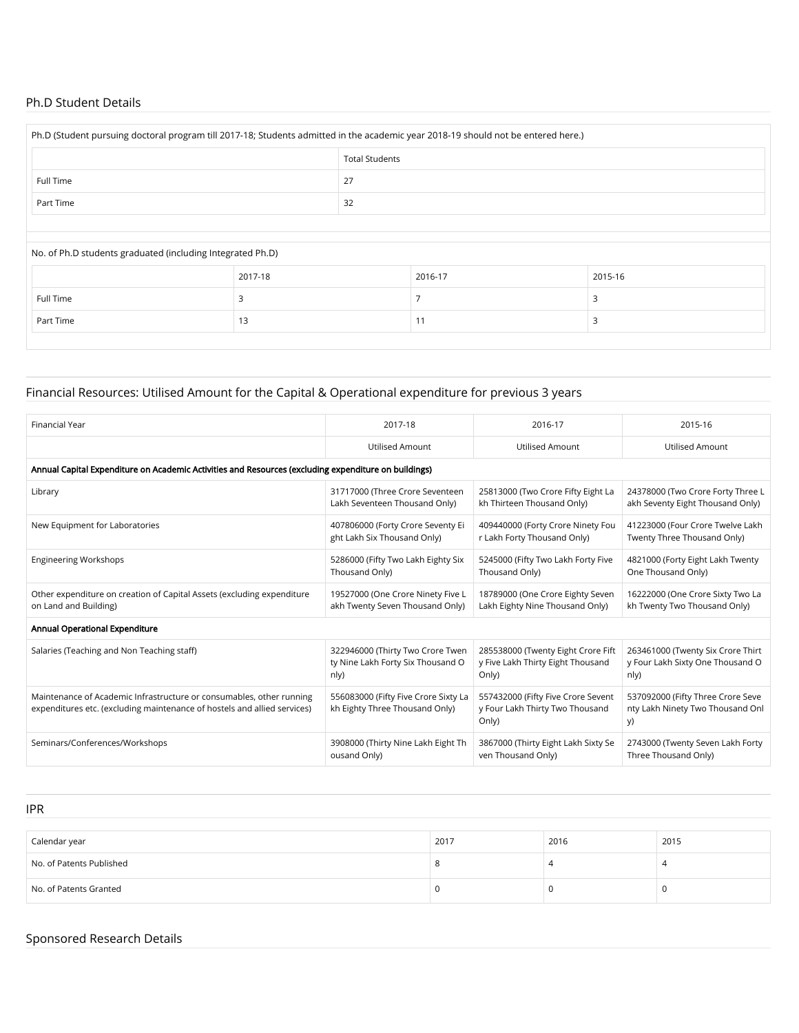#### Ph.D Student Details

| Ph.D (Student pursuing doctoral program till 2017-18; Students admitted in the academic year 2018-19 should not be entered here.) |                                                            |         |  |         |  |  |  |  |
|-----------------------------------------------------------------------------------------------------------------------------------|------------------------------------------------------------|---------|--|---------|--|--|--|--|
| <b>Total Students</b>                                                                                                             |                                                            |         |  |         |  |  |  |  |
| Full Time                                                                                                                         |                                                            | 27      |  |         |  |  |  |  |
| Part Time                                                                                                                         |                                                            | 32      |  |         |  |  |  |  |
|                                                                                                                                   |                                                            |         |  |         |  |  |  |  |
|                                                                                                                                   | No. of Ph.D students graduated (including Integrated Ph.D) |         |  |         |  |  |  |  |
|                                                                                                                                   | 2017-18                                                    | 2016-17 |  | 2015-16 |  |  |  |  |
| Full Time                                                                                                                         | 3                                                          |         |  | 3       |  |  |  |  |
| Part Time                                                                                                                         | 13                                                         | 11      |  | 3       |  |  |  |  |

## Financial Resources: Utilised Amount for the Capital & Operational expenditure for previous 3 years

| <b>Financial Year</b>                                                                                                                            | 2017-18                                                                | 2016-17                                                                        | 2015-16                                                                     |  |  |  |  |  |  |
|--------------------------------------------------------------------------------------------------------------------------------------------------|------------------------------------------------------------------------|--------------------------------------------------------------------------------|-----------------------------------------------------------------------------|--|--|--|--|--|--|
|                                                                                                                                                  | <b>Utilised Amount</b>                                                 | Utilised Amount                                                                | Utilised Amount                                                             |  |  |  |  |  |  |
| Annual Capital Expenditure on Academic Activities and Resources (excluding expenditure on buildings)                                             |                                                                        |                                                                                |                                                                             |  |  |  |  |  |  |
| Library                                                                                                                                          | 31717000 (Three Crore Seventeen                                        | 25813000 (Two Crore Fifty Eight La                                             | 24378000 (Two Crore Forty Three L                                           |  |  |  |  |  |  |
|                                                                                                                                                  | Lakh Seventeen Thousand Only)                                          | kh Thirteen Thousand Only)                                                     | akh Seventy Eight Thousand Only)                                            |  |  |  |  |  |  |
| New Equipment for Laboratories                                                                                                                   | 407806000 (Forty Crore Seventy Ei                                      | 409440000 (Forty Crore Ninety Fou                                              | 41223000 (Four Crore Twelve Lakh                                            |  |  |  |  |  |  |
|                                                                                                                                                  | ght Lakh Six Thousand Only)                                            | r Lakh Forty Thousand Only)                                                    | Twenty Three Thousand Only)                                                 |  |  |  |  |  |  |
| <b>Engineering Workshops</b>                                                                                                                     | 5286000 (Fifty Two Lakh Eighty Six                                     | 5245000 (Fifty Two Lakh Forty Five                                             | 4821000 (Forty Eight Lakh Twenty                                            |  |  |  |  |  |  |
|                                                                                                                                                  | Thousand Only)                                                         | Thousand Only)                                                                 | One Thousand Only)                                                          |  |  |  |  |  |  |
| Other expenditure on creation of Capital Assets (excluding expenditure                                                                           | 19527000 (One Crore Ninety Five L                                      | 18789000 (One Crore Eighty Seven                                               | 16222000 (One Crore Sixty Two La                                            |  |  |  |  |  |  |
| on Land and Building)                                                                                                                            | akh Twenty Seven Thousand Only)                                        | Lakh Eighty Nine Thousand Only)                                                | kh Twenty Two Thousand Only)                                                |  |  |  |  |  |  |
| Annual Operational Expenditure                                                                                                                   |                                                                        |                                                                                |                                                                             |  |  |  |  |  |  |
| Salaries (Teaching and Non Teaching staff)                                                                                                       | 322946000 (Thirty Two Crore Twen                                       | 285538000 (Twenty Eight Crore Fift                                             | 263461000 (Twenty Six Crore Thirt                                           |  |  |  |  |  |  |
|                                                                                                                                                  | ty Nine Lakh Forty Six Thousand O                                      | y Five Lakh Thirty Eight Thousand                                              | y Four Lakh Sixty One Thousand O                                            |  |  |  |  |  |  |
|                                                                                                                                                  | nly)                                                                   | Only)                                                                          | nly)                                                                        |  |  |  |  |  |  |
| Maintenance of Academic Infrastructure or consumables, other running<br>expenditures etc. (excluding maintenance of hostels and allied services) | 556083000 (Fifty Five Crore Sixty La<br>kh Eighty Three Thousand Only) | 557432000 (Fifty Five Crore Sevent<br>y Four Lakh Thirty Two Thousand<br>Only) | 537092000 (Fifty Three Crore Seve<br>nty Lakh Ninety Two Thousand Onl<br>y) |  |  |  |  |  |  |
| Seminars/Conferences/Workshops                                                                                                                   | 3908000 (Thirty Nine Lakh Eight Th                                     | 3867000 (Thirty Eight Lakh Sixty Se                                            | 2743000 (Twenty Seven Lakh Forty                                            |  |  |  |  |  |  |
|                                                                                                                                                  | ousand Only)                                                           | ven Thousand Only)                                                             | Three Thousand Only)                                                        |  |  |  |  |  |  |

IPR

| Calendar year            | 2017 | 2016 | 2015 |
|--------------------------|------|------|------|
| No. of Patents Published |      |      |      |
| No. of Patents Granted   |      |      | U    |

## Sponsored Research Details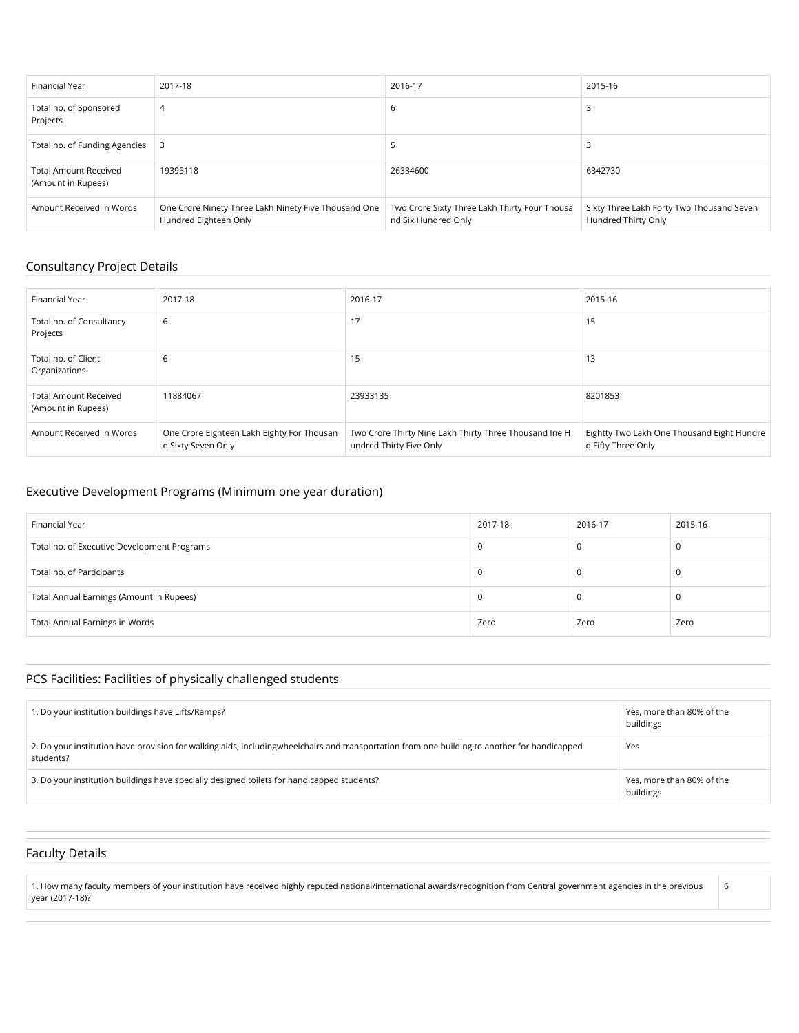| Financial Year                                     | 2017-18                                                                       | 2016-17                                                              | 2015-16                                                          |
|----------------------------------------------------|-------------------------------------------------------------------------------|----------------------------------------------------------------------|------------------------------------------------------------------|
| Total no. of Sponsored<br>Projects                 | 4                                                                             | b                                                                    |                                                                  |
| Total no. of Funding Agencies                      | 3                                                                             |                                                                      |                                                                  |
| <b>Total Amount Received</b><br>(Amount in Rupees) | 19395118                                                                      | 26334600                                                             | 6342730                                                          |
| Amount Received in Words                           | One Crore Ninety Three Lakh Ninety Five Thousand One<br>Hundred Eighteen Only | Two Crore Sixty Three Lakh Thirty Four Thousa<br>nd Six Hundred Only | Sixty Three Lakh Forty Two Thousand Seven<br>Hundred Thirty Only |

#### Consultancy Project Details

| Financial Year                                     | 2017-18                                                          | 2016-17                                                                           | 2015-16                                                          |
|----------------------------------------------------|------------------------------------------------------------------|-----------------------------------------------------------------------------------|------------------------------------------------------------------|
| Total no. of Consultancy<br>Projects               | 6                                                                | 17                                                                                | 15                                                               |
| Total no. of Client<br>Organizations               | 6                                                                | 15                                                                                | 13                                                               |
| <b>Total Amount Received</b><br>(Amount in Rupees) | 11884067                                                         | 23933135                                                                          | 8201853                                                          |
| Amount Received in Words                           | One Crore Eighteen Lakh Eighty For Thousan<br>d Sixty Seven Only | Two Crore Thirty Nine Lakh Thirty Three Thousand Ine H<br>undred Thirty Five Only | Eightty Two Lakh One Thousand Eight Hundre<br>d Fifty Three Only |

#### Executive Development Programs (Minimum one year duration)

| Financial Year                              | 2017-18 | 2016-17 | 2015-16 |
|---------------------------------------------|---------|---------|---------|
| Total no. of Executive Development Programs | 0       |         |         |
| Total no. of Participants                   | υ       |         |         |
| Total Annual Earnings (Amount in Rupees)    | 0       |         |         |
| Total Annual Earnings in Words              | Zero    | Zero    | Zero    |

## PCS Facilities: Facilities of physically challenged students

| 1. Do your institution buildings have Lifts/Ramps?                                                                                                        | Yes, more than 80% of the<br>buildings |
|-----------------------------------------------------------------------------------------------------------------------------------------------------------|----------------------------------------|
| 2. Do your institution have provision for walking aids, includingwheelchairs and transportation from one building to another for handicapped<br>students? | Yes                                    |
| 3. Do your institution buildings have specially designed toilets for handicapped students?                                                                | Yes, more than 80% of the<br>buildings |

6

## Faculty Details

1. How many faculty members of your institution have received highly reputed national/international awards/recognition from Central government agencies in the previous year (2017-18)?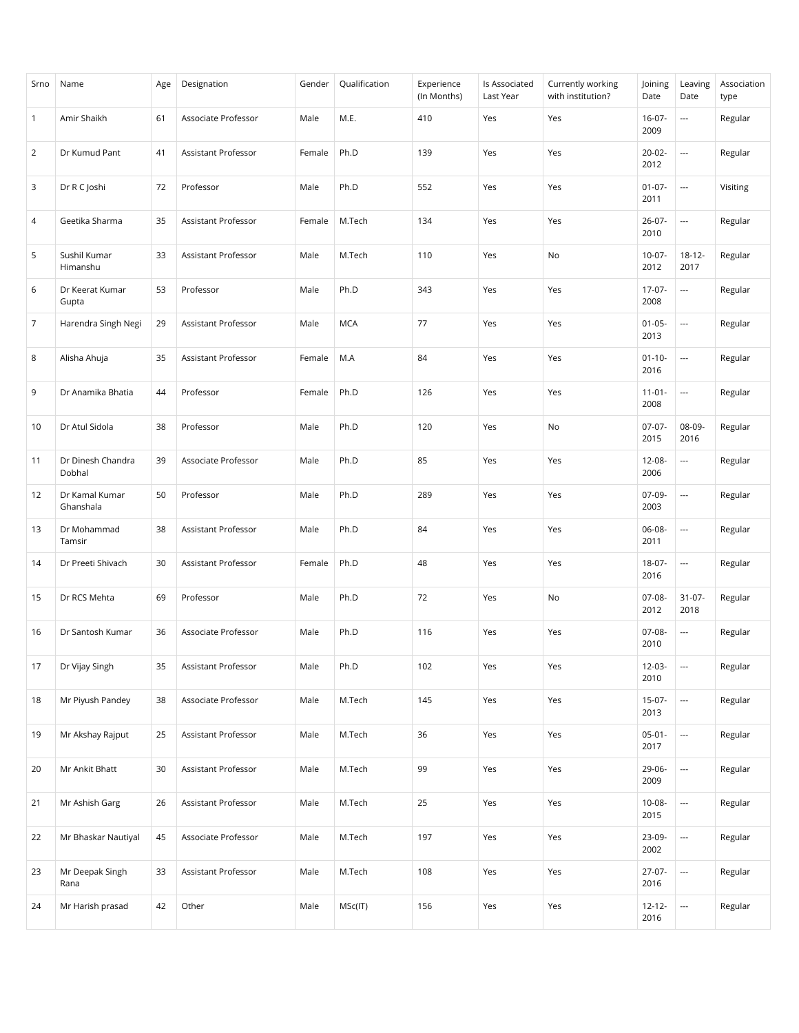| Srno           | Name                        | Age | Designation         | Gender | Qualification | Experience<br>(In Months) | Is Associated<br>Last Year | Currently working<br>with institution? | Joining<br>Date     | Leaving<br>Date          | Association<br>type |
|----------------|-----------------------------|-----|---------------------|--------|---------------|---------------------------|----------------------------|----------------------------------------|---------------------|--------------------------|---------------------|
| $\mathbf{1}$   | Amir Shaikh                 | 61  | Associate Professor | Male   | M.E.          | 410                       | Yes                        | Yes                                    | $16-07-$<br>2009    | $\overline{\phantom{a}}$ | Regular             |
| 2              | Dr Kumud Pant               | 41  | Assistant Professor | Female | Ph.D          | 139                       | Yes                        | Yes                                    | $20-02-$<br>2012    | $\overline{\phantom{a}}$ | Regular             |
| 3              | Dr R C Joshi                | 72  | Professor           | Male   | Ph.D          | 552                       | Yes                        | Yes                                    | $01 - 07 -$<br>2011 | $\overline{\phantom{a}}$ | Visiting            |
| 4              | Geetika Sharma              | 35  | Assistant Professor | Female | M.Tech        | 134                       | Yes                        | Yes                                    | $26 - 07 -$<br>2010 | $\hspace{0.05cm} \ldots$ | Regular             |
| 5              | Sushil Kumar<br>Himanshu    | 33  | Assistant Professor | Male   | M.Tech        | 110                       | Yes                        | No                                     | $10-07 -$<br>2012   | $18 - 12 -$<br>2017      | Regular             |
| 6              | Dr Keerat Kumar<br>Gupta    | 53  | Professor           | Male   | Ph.D          | 343                       | Yes                        | Yes                                    | $17-07-$<br>2008    | $\overline{\phantom{a}}$ | Regular             |
| $\overline{7}$ | Harendra Singh Negi         | 29  | Assistant Professor | Male   | <b>MCA</b>    | 77                        | Yes                        | Yes                                    | $01 - 05 -$<br>2013 | $\overline{\phantom{a}}$ | Regular             |
| 8              | Alisha Ahuja                | 35  | Assistant Professor | Female | M.A           | 84                        | Yes                        | Yes                                    | $01 - 10 -$<br>2016 | $\hspace{0.05cm} \ldots$ | Regular             |
| 9              | Dr Anamika Bhatia           | 44  | Professor           | Female | Ph.D          | 126                       | Yes                        | Yes                                    | $11-01-$<br>2008    | $\overline{\phantom{a}}$ | Regular             |
| 10             | Dr Atul Sidola              | 38  | Professor           | Male   | Ph.D          | 120                       | Yes                        | No                                     | $07-07-$<br>2015    | 08-09-<br>2016           | Regular             |
| 11             | Dr Dinesh Chandra<br>Dobhal | 39  | Associate Professor | Male   | Ph.D          | 85                        | Yes                        | Yes                                    | $12 - 08 -$<br>2006 | $\overline{\phantom{a}}$ | Regular             |
| 12             | Dr Kamal Kumar<br>Ghanshala | 50  | Professor           | Male   | Ph.D          | 289                       | Yes                        | Yes                                    | 07-09-<br>2003      | $\overline{\phantom{a}}$ | Regular             |
| 13             | Dr Mohammad<br>Tamsir       | 38  | Assistant Professor | Male   | Ph.D          | 84                        | Yes                        | Yes                                    | 06-08-<br>2011      | $\overline{\phantom{a}}$ | Regular             |
| 14             | Dr Preeti Shivach           | 30  | Assistant Professor | Female | Ph.D          | 48                        | Yes                        | Yes                                    | 18-07-<br>2016      | $\overline{\phantom{a}}$ | Regular             |
| 15             | Dr RCS Mehta                | 69  | Professor           | Male   | Ph.D          | 72                        | Yes                        | No                                     | $07-08-$<br>2012    | $31 - 07 -$<br>2018      | Regular             |
| 16             | Dr Santosh Kumar            | 36  | Associate Professor | Male   | Ph.D          | 116                       | Yes                        | Yes                                    | $07-08-$<br>2010    | $\overline{\phantom{a}}$ | Regular             |
| 17             | Dr Vijay Singh              | 35  | Assistant Professor | Male   | Ph.D          | 102                       | Yes                        | Yes                                    | $12-03-$<br>2010    | $\overline{\phantom{a}}$ | Regular             |
| 18             | Mr Piyush Pandey            | 38  | Associate Professor | Male   | M.Tech        | 145                       | Yes                        | Yes                                    | $15-07-$<br>2013    | ---                      | Regular             |
| 19             | Mr Akshay Rajput            | 25  | Assistant Professor | Male   | M.Tech        | 36                        | Yes                        | Yes                                    | $05-01-$<br>2017    | $\overline{\phantom{a}}$ | Regular             |
| 20             | Mr Ankit Bhatt              | 30  | Assistant Professor | Male   | M.Tech        | 99                        | Yes                        | Yes                                    | 29-06-<br>2009      | ---                      | Regular             |
| 21             | Mr Ashish Garg              | 26  | Assistant Professor | Male   | M.Tech        | 25                        | Yes                        | Yes                                    | $10-08-$<br>2015    | $\hspace{0.05cm} \ldots$ | Regular             |
| 22             | Mr Bhaskar Nautiyal         | 45  | Associate Professor | Male   | M.Tech        | 197                       | Yes                        | Yes                                    | 23-09-<br>2002      | ---                      | Regular             |
| 23             | Mr Deepak Singh<br>Rana     | 33  | Assistant Professor | Male   | M.Tech        | 108                       | Yes                        | Yes                                    | 27-07-<br>2016      | $\scriptstyle\cdots$     | Regular             |
| 24             | Mr Harish prasad            | 42  | Other               | Male   | MSc(IT)       | 156                       | Yes                        | Yes                                    | $12 - 12 -$<br>2016 | ---                      | Regular             |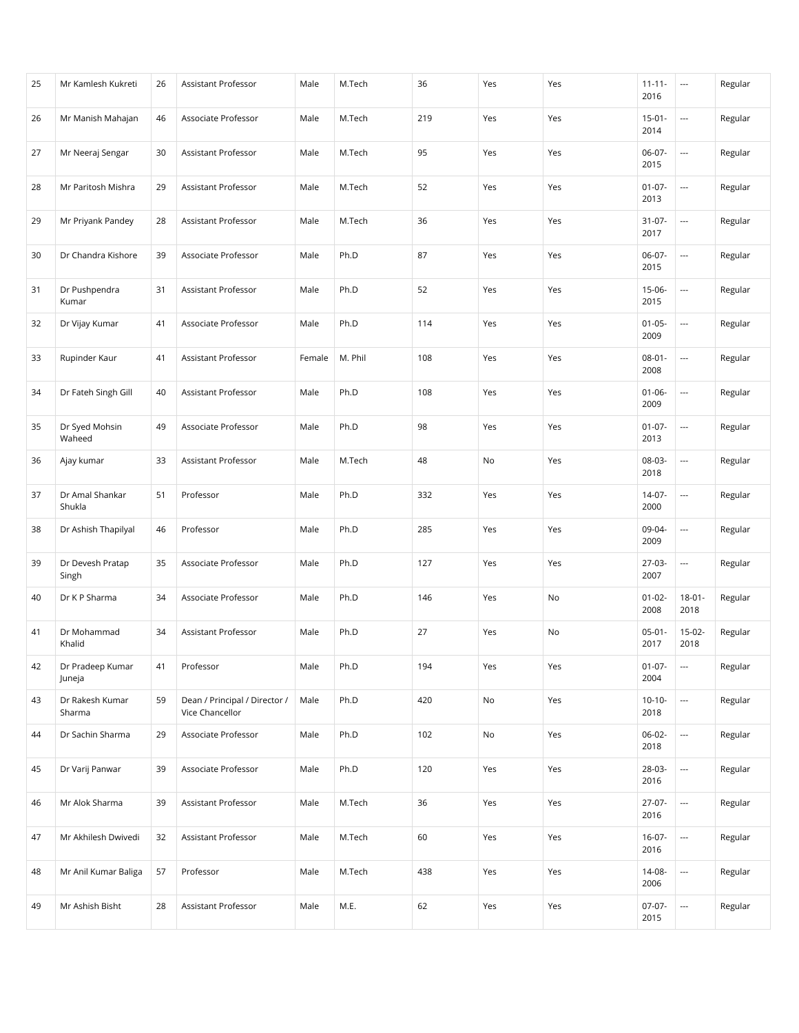| 25 | Mr Kamlesh Kukreti         | 26 | Assistant Professor                              | Male   | M.Tech  | 36  | Yes | Yes | $11 - 11 -$<br>2016 | $\overline{\phantom{a}}$ | Regular |
|----|----------------------------|----|--------------------------------------------------|--------|---------|-----|-----|-----|---------------------|--------------------------|---------|
| 26 | Mr Manish Mahajan          | 46 | Associate Professor                              | Male   | M.Tech  | 219 | Yes | Yes | $15 - 01 -$<br>2014 | $\overline{\phantom{a}}$ | Regular |
| 27 | Mr Neeraj Sengar           | 30 | Assistant Professor                              | Male   | M.Tech  | 95  | Yes | Yes | $06-07-$<br>2015    |                          | Regular |
| 28 | Mr Paritosh Mishra         | 29 | Assistant Professor                              | Male   | M.Tech  | 52  | Yes | Yes | $01 - 07 -$<br>2013 | $\overline{\phantom{a}}$ | Regular |
| 29 | Mr Priyank Pandey          | 28 | Assistant Professor                              | Male   | M.Tech  | 36  | Yes | Yes | $31-07-$<br>2017    | ---                      | Regular |
| 30 | Dr Chandra Kishore         | 39 | Associate Professor                              | Male   | Ph.D    | 87  | Yes | Yes | 06-07-<br>2015      | ---                      | Regular |
| 31 | Dr Pushpendra<br>Kumar     | 31 | Assistant Professor                              | Male   | Ph.D    | 52  | Yes | Yes | $15-06-$<br>2015    | $\overline{\phantom{a}}$ | Regular |
| 32 | Dr Vijay Kumar             | 41 | Associate Professor                              | Male   | Ph.D    | 114 | Yes | Yes | $01 - 05 -$<br>2009 | $\overline{\phantom{a}}$ | Regular |
| 33 | Rupinder Kaur              | 41 | Assistant Professor                              | Female | M. Phil | 108 | Yes | Yes | $08 - 01 -$<br>2008 | $\overline{\phantom{a}}$ | Regular |
| 34 | Dr Fateh Singh Gill        | 40 | Assistant Professor                              | Male   | Ph.D    | 108 | Yes | Yes | $01 - 06 -$<br>2009 | $\overline{a}$           | Regular |
| 35 | Dr Syed Mohsin<br>Waheed   | 49 | Associate Professor                              | Male   | Ph.D    | 98  | Yes | Yes | $01-07-$<br>2013    | ---                      | Regular |
| 36 | Ajay kumar                 | 33 | Assistant Professor                              | Male   | M.Tech  | 48  | No  | Yes | 08-03-<br>2018      | $\overline{\phantom{a}}$ | Regular |
| 37 | Dr Amal Shankar<br>Shukla  | 51 | Professor                                        | Male   | Ph.D    | 332 | Yes | Yes | $14-07-$<br>2000    | ---                      | Regular |
| 38 | Dr Ashish Thapilyal        | 46 | Professor                                        | Male   | Ph.D    | 285 | Yes | Yes | 09-04-<br>2009      | $\overline{\phantom{a}}$ | Regular |
| 39 | Dr Devesh Pratap<br>Singh  | 35 | Associate Professor                              | Male   | Ph.D    | 127 | Yes | Yes | $27-03-$<br>2007    | $\overline{\phantom{a}}$ | Regular |
| 40 | Dr K P Sharma              | 34 | Associate Professor                              | Male   | Ph.D    | 146 | Yes | No  | $01 - 02 -$<br>2008 | $18 - 01 -$<br>2018      | Regular |
| 41 | Dr Mohammad<br>Khalid      | 34 | Assistant Professor                              | Male   | Ph.D    | 27  | Yes | No  | $05-01-$<br>2017    | $15-02-$<br>2018         | Regular |
| 42 | Dr Pradeep Kumar<br>Juneja | 41 | Professor                                        | Male   | Ph.D    | 194 | Yes | Yes | $01-07-$<br>2004    | $\overline{\phantom{a}}$ | Regular |
| 43 | Dr Rakesh Kumar<br>Sharma  | 59 | Dean / Principal / Director /<br>Vice Chancellor | Male   | Ph.D    | 420 | No  | Yes | $10-10-$<br>2018    | ---                      | Regular |
| 44 | Dr Sachin Sharma           | 29 | Associate Professor                              | Male   | Ph.D    | 102 | No  | Yes | $06 - 02 -$<br>2018 | $\overline{\phantom{a}}$ | Regular |
| 45 | Dr Varij Panwar            | 39 | Associate Professor                              | Male   | Ph.D    | 120 | Yes | Yes | 28-03-<br>2016      | $\overline{\phantom{a}}$ | Regular |
| 46 | Mr Alok Sharma             | 39 | Assistant Professor                              | Male   | M.Tech  | 36  | Yes | Yes | $27-07-$<br>2016    | $\hspace{0.05cm} \ldots$ | Regular |
| 47 | Mr Akhilesh Dwivedi        | 32 | Assistant Professor                              | Male   | M.Tech  | 60  | Yes | Yes | $16-07-$<br>2016    | $\overline{\phantom{a}}$ | Regular |
| 48 | Mr Anil Kumar Baliga       | 57 | Professor                                        | Male   | M.Tech  | 438 | Yes | Yes | 14-08-<br>2006      | $\overline{\phantom{a}}$ | Regular |
| 49 | Mr Ashish Bisht            | 28 | Assistant Professor                              | Male   | M.E.    | 62  | Yes | Yes | 07-07-<br>2015      | $\overline{\phantom{a}}$ | Regular |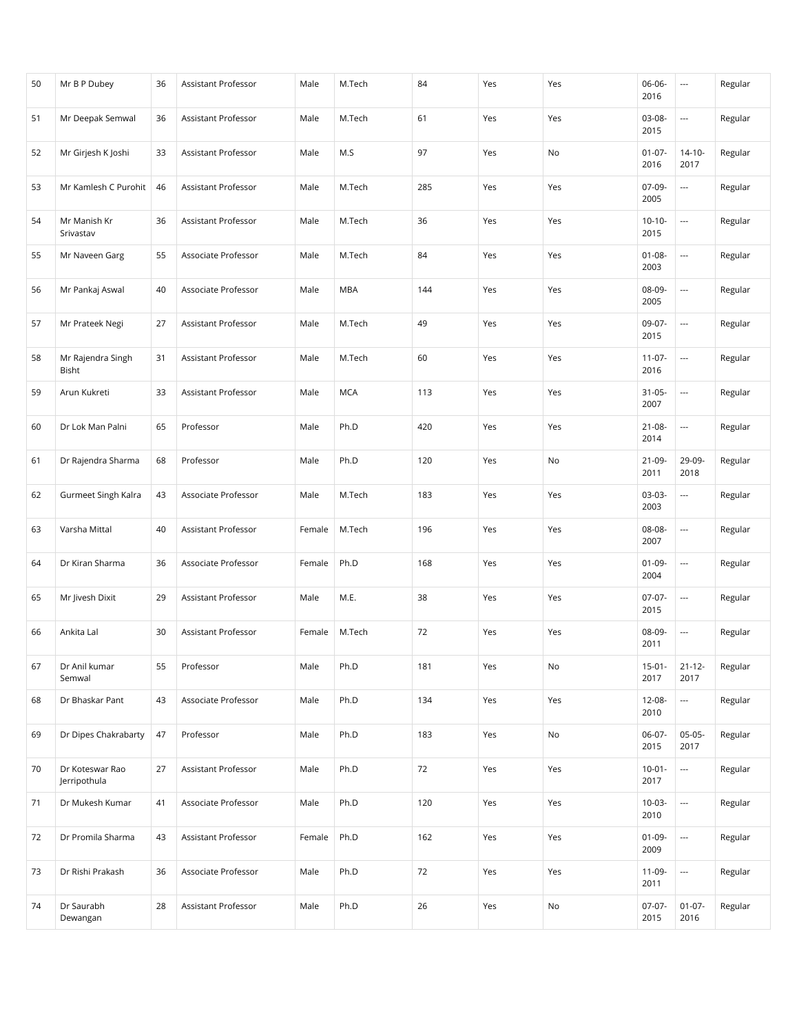| 50 | Mr B P Dubey                    | 36 | Assistant Professor | Male   | M.Tech     | 84  | Yes | Yes | 06-06-<br>2016      | $\hspace{0.05cm} \ldots$ | Regular |
|----|---------------------------------|----|---------------------|--------|------------|-----|-----|-----|---------------------|--------------------------|---------|
| 51 | Mr Deepak Semwal                | 36 | Assistant Professor | Male   | M.Tech     | 61  | Yes | Yes | $03-08-$<br>2015    | ---                      | Regular |
| 52 | Mr Girjesh K Joshi              | 33 | Assistant Professor | Male   | M.S        | 97  | Yes | No  | $01 - 07 -$<br>2016 | $14-10-$<br>2017         | Regular |
| 53 | Mr Kamlesh C Purohit            | 46 | Assistant Professor | Male   | M.Tech     | 285 | Yes | Yes | $07-09-$<br>2005    | $\overline{\phantom{a}}$ | Regular |
| 54 | Mr Manish Kr<br>Srivastav       | 36 | Assistant Professor | Male   | M.Tech     | 36  | Yes | Yes | $10-10-$<br>2015    | ---                      | Regular |
| 55 | Mr Naveen Garg                  | 55 | Associate Professor | Male   | M.Tech     | 84  | Yes | Yes | $01 - 08 -$<br>2003 | $\overline{\phantom{a}}$ | Regular |
| 56 | Mr Pankaj Aswal                 | 40 | Associate Professor | Male   | <b>MBA</b> | 144 | Yes | Yes | 08-09-<br>2005      | $\overline{\phantom{a}}$ | Regular |
| 57 | Mr Prateek Negi                 | 27 | Assistant Professor | Male   | M.Tech     | 49  | Yes | Yes | 09-07-<br>2015      | $\overline{\phantom{a}}$ | Regular |
| 58 | Mr Rajendra Singh<br>Bisht      | 31 | Assistant Professor | Male   | M.Tech     | 60  | Yes | Yes | $11-07-$<br>2016    | $\overline{\phantom{a}}$ | Regular |
| 59 | Arun Kukreti                    | 33 | Assistant Professor | Male   | <b>MCA</b> | 113 | Yes | Yes | $31 - 05 -$<br>2007 | ---                      | Regular |
| 60 | Dr Lok Man Palni                | 65 | Professor           | Male   | Ph.D       | 420 | Yes | Yes | $21 - 08 -$<br>2014 | ---                      | Regular |
| 61 | Dr Rajendra Sharma              | 68 | Professor           | Male   | Ph.D       | 120 | Yes | No  | $21-09-$<br>2011    | 29-09-<br>2018           | Regular |
| 62 | Gurmeet Singh Kalra             | 43 | Associate Professor | Male   | M.Tech     | 183 | Yes | Yes | $03-03-$<br>2003    | $\overline{\phantom{a}}$ | Regular |
| 63 | Varsha Mittal                   | 40 | Assistant Professor | Female | M.Tech     | 196 | Yes | Yes | 08-08-<br>2007      | $\overline{\phantom{a}}$ | Regular |
| 64 | Dr Kiran Sharma                 | 36 | Associate Professor | Female | Ph.D       | 168 | Yes | Yes | $01 - 09 -$<br>2004 | $\overline{\phantom{a}}$ | Regular |
| 65 | Mr Jivesh Dixit                 | 29 | Assistant Professor | Male   | M.E.       | 38  | Yes | Yes | $07-07-$<br>2015    | $\overline{\phantom{a}}$ | Regular |
| 66 | Ankita Lal                      | 30 | Assistant Professor | Female | M.Tech     | 72  | Yes | Yes | 08-09-<br>2011      | $\overline{\phantom{a}}$ | Regular |
| 67 | Dr Anil kumar<br>Semwal         | 55 | Professor           | Male   | Ph.D       | 181 | Yes | No  | $15-01 -$<br>2017   | $21 - 12 -$<br>2017      | Regular |
| 68 | Dr Bhaskar Pant                 | 43 | Associate Professor | Male   | Ph.D       | 134 | Yes | Yes | 12-08-<br>2010      | $\overline{\phantom{a}}$ | Regular |
| 69 | Dr Dipes Chakrabarty            | 47 | Professor           | Male   | Ph.D       | 183 | Yes | No  | 06-07-<br>2015      | $05-05-$<br>2017         | Regular |
| 70 | Dr Koteswar Rao<br>Jerripothula | 27 | Assistant Professor | Male   | Ph.D       | 72  | Yes | Yes | $10-01 -$<br>2017   | $\overline{\phantom{a}}$ | Regular |
| 71 | Dr Mukesh Kumar                 | 41 | Associate Professor | Male   | Ph.D       | 120 | Yes | Yes | $10-03-$<br>2010    | $\overline{\phantom{a}}$ | Regular |
| 72 | Dr Promila Sharma               | 43 | Assistant Professor | Female | Ph.D       | 162 | Yes | Yes | $01-09-$<br>2009    | $\overline{\phantom{a}}$ | Regular |
| 73 | Dr Rishi Prakash                | 36 | Associate Professor | Male   | Ph.D       | 72  | Yes | Yes | 11-09-<br>2011      | $\overline{a}$           | Regular |
| 74 | Dr Saurabh<br>Dewangan          | 28 | Assistant Professor | Male   | Ph.D       | 26  | Yes | No  | 07-07-<br>2015      | $01-07-$<br>2016         | Regular |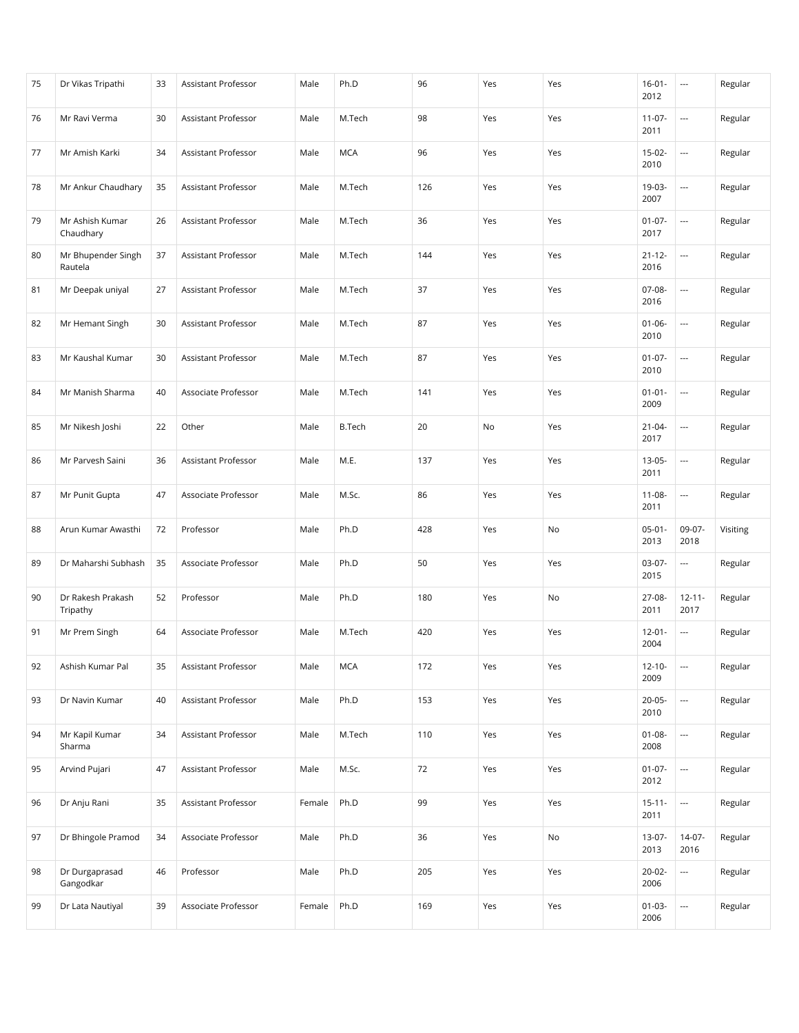| 75 | Dr Vikas Tripathi             | 33 | Assistant Professor        | Male   | Ph.D          | 96  | Yes | Yes | $16 - 01 -$<br>2012 | $\overline{\phantom{a}}$ | Regular  |
|----|-------------------------------|----|----------------------------|--------|---------------|-----|-----|-----|---------------------|--------------------------|----------|
| 76 | Mr Ravi Verma                 | 30 | <b>Assistant Professor</b> | Male   | M.Tech        | 98  | Yes | Yes | $11-07-$<br>2011    | $\overline{\phantom{a}}$ | Regular  |
| 77 | Mr Amish Karki                | 34 | Assistant Professor        | Male   | <b>MCA</b>    | 96  | Yes | Yes | $15-02-$<br>2010    | $\overline{a}$           | Regular  |
| 78 | Mr Ankur Chaudhary            | 35 | Assistant Professor        | Male   | M.Tech        | 126 | Yes | Yes | 19-03-<br>2007      | $\overline{\phantom{a}}$ | Regular  |
| 79 | Mr Ashish Kumar<br>Chaudhary  | 26 | Assistant Professor        | Male   | M.Tech        | 36  | Yes | Yes | $01-07-$<br>2017    | ---                      | Regular  |
| 80 | Mr Bhupender Singh<br>Rautela | 37 | Assistant Professor        | Male   | M.Tech        | 144 | Yes | Yes | $21 - 12 -$<br>2016 | ---                      | Regular  |
| 81 | Mr Deepak uniyal              | 27 | Assistant Professor        | Male   | M.Tech        | 37  | Yes | Yes | $07-08-$<br>2016    | $\overline{\phantom{a}}$ | Regular  |
| 82 | Mr Hemant Singh               | 30 | Assistant Professor        | Male   | M.Tech        | 87  | Yes | Yes | $01 - 06 -$<br>2010 | $\overline{\phantom{a}}$ | Regular  |
| 83 | Mr Kaushal Kumar              | 30 | Assistant Professor        | Male   | M.Tech        | 87  | Yes | Yes | $01 - 07 -$<br>2010 | $\overline{\phantom{a}}$ | Regular  |
| 84 | Mr Manish Sharma              | 40 | Associate Professor        | Male   | M.Tech        | 141 | Yes | Yes | $01 - 01 -$<br>2009 | $\overline{\phantom{a}}$ | Regular  |
| 85 | Mr Nikesh Joshi               | 22 | Other                      | Male   | <b>B.Tech</b> | 20  | No  | Yes | $21 - 04 -$<br>2017 | $\overline{a}$           | Regular  |
| 86 | Mr Parvesh Saini              | 36 | Assistant Professor        | Male   | M.E.          | 137 | Yes | Yes | $13-05-$<br>2011    | $\overline{\phantom{a}}$ | Regular  |
| 87 | Mr Punit Gupta                | 47 | Associate Professor        | Male   | M.Sc.         | 86  | Yes | Yes | $11 - 08 -$<br>2011 | ---                      | Regular  |
| 88 | Arun Kumar Awasthi            | 72 | Professor                  | Male   | Ph.D          | 428 | Yes | No  | $05-01-$<br>2013    | 09-07-<br>2018           | Visiting |
| 89 | Dr Maharshi Subhash           | 35 | Associate Professor        | Male   | Ph.D          | 50  | Yes | Yes | $03-07-$<br>2015    | $\overline{a}$           | Regular  |
| 90 | Dr Rakesh Prakash<br>Tripathy | 52 | Professor                  | Male   | Ph.D          | 180 | Yes | No  | 27-08-<br>2011      | $12 - 11 -$<br>2017      | Regular  |
| 91 | Mr Prem Singh                 | 64 | Associate Professor        | Male   | M.Tech        | 420 | Yes | Yes | $12 - 01 -$<br>2004 | $\overline{\phantom{a}}$ | Regular  |
| 92 | Ashish Kumar Pal              | 35 | Assistant Professor        | Male   | <b>MCA</b>    | 172 | Yes | Yes | $12 - 10 -$<br>2009 | $\overline{\phantom{a}}$ | Regular  |
| 93 | Dr Navin Kumar                | 40 | Assistant Professor        | Male   | Ph.D          | 153 | Yes | Yes | $20-05-$<br>2010    | ---                      | Regular  |
| 94 | Mr Kapil Kumar<br>Sharma      | 34 | Assistant Professor        | Male   | M.Tech        | 110 | Yes | Yes | $01 - 08 -$<br>2008 | $\overline{\phantom{a}}$ | Regular  |
| 95 | Arvind Pujari                 | 47 | Assistant Professor        | Male   | M.Sc.         | 72  | Yes | Yes | $01-07-$<br>2012    | $\overline{\phantom{a}}$ | Regular  |
| 96 | Dr Anju Rani                  | 35 | Assistant Professor        | Female | Ph.D          | 99  | Yes | Yes | $15 - 11 -$<br>2011 | $\hspace{0.05cm} \ldots$ | Regular  |
| 97 | Dr Bhingole Pramod            | 34 | Associate Professor        | Male   | Ph.D          | 36  | Yes | No  | $13-07-$<br>2013    | $14-07-$<br>2016         | Regular  |
| 98 | Dr Durgaprasad<br>Gangodkar   | 46 | Professor                  | Male   | Ph.D          | 205 | Yes | Yes | $20 - 02 -$<br>2006 | $\overline{\phantom{a}}$ | Regular  |
| 99 | Dr Lata Nautiyal              | 39 | Associate Professor        | Female | Ph.D          | 169 | Yes | Yes | $01-03-$<br>2006    | $\overline{\phantom{a}}$ | Regular  |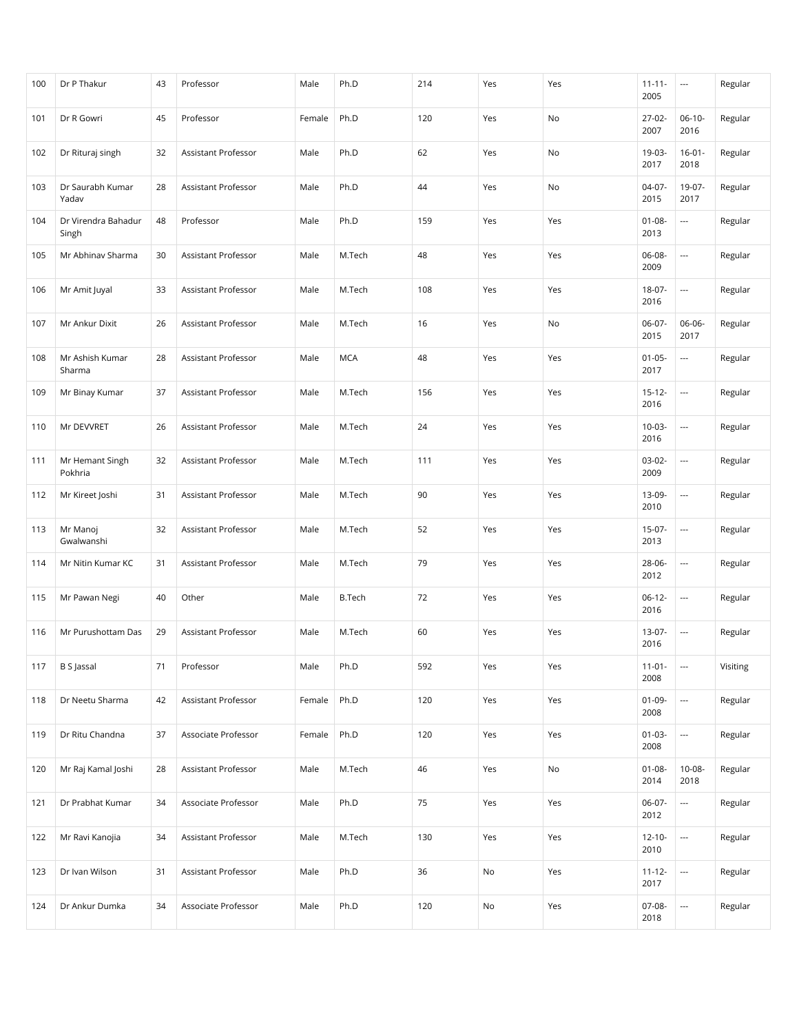| 100 | Dr P Thakur                  | 43 | Professor                  | Male   | Ph.D          | 214 | Yes | Yes | $11 - 11 -$<br>2005 | $\cdots$                 | Regular  |
|-----|------------------------------|----|----------------------------|--------|---------------|-----|-----|-----|---------------------|--------------------------|----------|
| 101 | Dr R Gowri                   | 45 | Professor                  | Female | Ph.D          | 120 | Yes | No  | 27-02-<br>2007      | $06-10-$<br>2016         | Regular  |
| 102 | Dr Rituraj singh             | 32 | Assistant Professor        | Male   | Ph.D          | 62  | Yes | No  | 19-03-<br>2017      | $16 - 01 -$<br>2018      | Regular  |
| 103 | Dr Saurabh Kumar<br>Yadav    | 28 | Assistant Professor        | Male   | Ph.D          | 44  | Yes | No  | $04-07-$<br>2015    | 19-07-<br>2017           | Regular  |
| 104 | Dr Virendra Bahadur<br>Singh | 48 | Professor                  | Male   | Ph.D          | 159 | Yes | Yes | $01 - 08 -$<br>2013 | $\overline{\phantom{a}}$ | Regular  |
| 105 | Mr Abhinav Sharma            | 30 | Assistant Professor        | Male   | M.Tech        | 48  | Yes | Yes | 06-08-<br>2009      | $\overline{\phantom{a}}$ | Regular  |
| 106 | Mr Amit Juyal                | 33 | Assistant Professor        | Male   | M.Tech        | 108 | Yes | Yes | 18-07-<br>2016      | $\overline{\phantom{a}}$ | Regular  |
| 107 | Mr Ankur Dixit               | 26 | Assistant Professor        | Male   | M.Tech        | 16  | Yes | No  | $06-07-$<br>2015    | 06-06-<br>2017           | Regular  |
| 108 | Mr Ashish Kumar<br>Sharma    | 28 | Assistant Professor        | Male   | <b>MCA</b>    | 48  | Yes | Yes | $01 - 05 -$<br>2017 | $\overline{\phantom{a}}$ | Regular  |
| 109 | Mr Binay Kumar               | 37 | <b>Assistant Professor</b> | Male   | M.Tech        | 156 | Yes | Yes | $15 - 12 -$<br>2016 | $\overline{\phantom{a}}$ | Regular  |
| 110 | Mr DEVVRET                   | 26 | Assistant Professor        | Male   | M.Tech        | 24  | Yes | Yes | $10-03-$<br>2016    | $\overline{\phantom{a}}$ | Regular  |
| 111 | Mr Hemant Singh<br>Pokhria   | 32 | Assistant Professor        | Male   | M.Tech        | 111 | Yes | Yes | $03-02-$<br>2009    | $\hspace{0.05cm} \ldots$ | Regular  |
| 112 | Mr Kireet Joshi              | 31 | Assistant Professor        | Male   | M.Tech        | 90  | Yes | Yes | 13-09-<br>2010      | $\overline{\phantom{a}}$ | Regular  |
| 113 | Mr Manoj<br>Gwalwanshi       | 32 | Assistant Professor        | Male   | M.Tech        | 52  | Yes | Yes | $15-07-$<br>2013    | $\overline{\phantom{a}}$ | Regular  |
| 114 | Mr Nitin Kumar KC            | 31 | Assistant Professor        | Male   | M.Tech        | 79  | Yes | Yes | 28-06-<br>2012      | $\overline{\phantom{a}}$ | Regular  |
| 115 | Mr Pawan Negi                | 40 | Other                      | Male   | <b>B.Tech</b> | 72  | Yes | Yes | $06-12-$<br>2016    | $\overline{\phantom{a}}$ | Regular  |
| 116 | Mr Purushottam Das           | 29 | <b>Assistant Professor</b> | Male   | M.Tech        | 60  | Yes | Yes | 13-07-<br>2016      | $\overline{\phantom{a}}$ | Regular  |
| 117 | <b>B</b> S Jassal            | 71 | Professor                  | Male   | Ph.D          | 592 | Yes | Yes | $11-01-$<br>2008    |                          | Visiting |
| 118 | Dr Neetu Sharma              | 42 | Assistant Professor        | Female | Ph.D          | 120 | Yes | Yes | $01-09-$<br>2008    | $\overline{\phantom{a}}$ | Regular  |
| 119 | Dr Ritu Chandna              | 37 | Associate Professor        | Female | Ph.D          | 120 | Yes | Yes | $01-03-$<br>2008    | ---                      | Regular  |
| 120 | Mr Raj Kamal Joshi           | 28 | Assistant Professor        | Male   | M.Tech        | 46  | Yes | No  | $01 - 08 -$<br>2014 | $10 - 08 -$<br>2018      | Regular  |
| 121 | Dr Prabhat Kumar             | 34 | Associate Professor        | Male   | Ph.D          | 75  | Yes | Yes | $06-07-$<br>2012    | $\hspace{0.05cm} \ldots$ | Regular  |
| 122 | Mr Ravi Kanojia              | 34 | Assistant Professor        | Male   | M.Tech        | 130 | Yes | Yes | $12 - 10 -$<br>2010 | $\overline{\phantom{a}}$ | Regular  |
| 123 | Dr Ivan Wilson               | 31 | Assistant Professor        | Male   | Ph.D          | 36  | No  | Yes | $11 - 12 -$<br>2017 | $\overline{\phantom{a}}$ | Regular  |
| 124 | Dr Ankur Dumka               | 34 | Associate Professor        | Male   | Ph.D          | 120 | No  | Yes | 07-08-<br>2018      | $\scriptstyle\cdots$     | Regular  |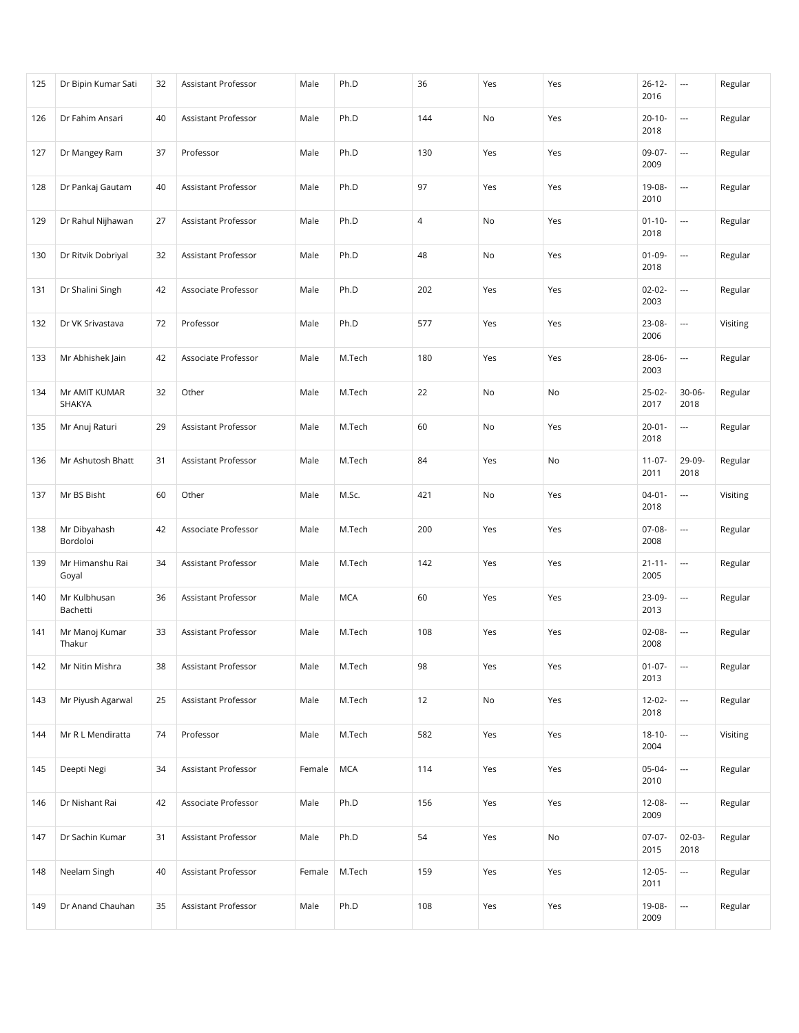| 125 | Dr Bipin Kumar Sati      | 32 | Assistant Professor        | Male   | Ph.D       | 36             | Yes | Yes | $26 - 12 -$<br>2016 | $\overline{\phantom{a}}$ | Regular  |
|-----|--------------------------|----|----------------------------|--------|------------|----------------|-----|-----|---------------------|--------------------------|----------|
| 126 | Dr Fahim Ansari          | 40 | <b>Assistant Professor</b> | Male   | Ph.D       | 144            | No  | Yes | $20 - 10 -$<br>2018 |                          | Regular  |
| 127 | Dr Mangey Ram            | 37 | Professor                  | Male   | Ph.D       | 130            | Yes | Yes | 09-07-<br>2009      | $\overline{\phantom{a}}$ | Regular  |
| 128 | Dr Pankaj Gautam         | 40 | Assistant Professor        | Male   | Ph.D       | 97             | Yes | Yes | 19-08-<br>2010      | $\overline{\phantom{a}}$ | Regular  |
| 129 | Dr Rahul Nijhawan        | 27 | Assistant Professor        | Male   | Ph.D       | $\overline{4}$ | No  | Yes | $01 - 10 -$<br>2018 | $\overline{\phantom{a}}$ | Regular  |
| 130 | Dr Ritvik Dobriyal       | 32 | <b>Assistant Professor</b> | Male   | Ph.D       | 48             | No  | Yes | $01-09-$<br>2018    |                          | Regular  |
| 131 | Dr Shalini Singh         | 42 | Associate Professor        | Male   | Ph.D       | 202            | Yes | Yes | $02 - 02 -$<br>2003 | ---                      | Regular  |
| 132 | Dr VK Srivastava         | 72 | Professor                  | Male   | Ph.D       | 577            | Yes | Yes | 23-08-<br>2006      | $\overline{\phantom{a}}$ | Visiting |
| 133 | Mr Abhishek Jain         | 42 | Associate Professor        | Male   | M.Tech     | 180            | Yes | Yes | 28-06-<br>2003      | $\overline{\phantom{a}}$ | Regular  |
| 134 | Mr AMIT KUMAR<br>SHAKYA  | 32 | Other                      | Male   | M.Tech     | 22             | No  | No  | $25-02-$<br>2017    | $30 - 06 -$<br>2018      | Regular  |
| 135 | Mr Anuj Raturi           | 29 | Assistant Professor        | Male   | M.Tech     | 60             | No  | Yes | $20 - 01 -$<br>2018 | $\overline{\phantom{a}}$ | Regular  |
| 136 | Mr Ashutosh Bhatt        | 31 | Assistant Professor        | Male   | M.Tech     | 84             | Yes | No  | $11-07-$<br>2011    | 29-09-<br>2018           | Regular  |
| 137 | Mr BS Bisht              | 60 | Other                      | Male   | M.Sc.      | 421            | No  | Yes | $04 - 01 -$<br>2018 | $\overline{\phantom{a}}$ | Visiting |
| 138 | Mr Dibyahash<br>Bordoloi | 42 | Associate Professor        | Male   | M.Tech     | 200            | Yes | Yes | $07-08-$<br>2008    |                          | Regular  |
| 139 | Mr Himanshu Rai<br>Goyal | 34 | Assistant Professor        | Male   | M.Tech     | 142            | Yes | Yes | $21 - 11 -$<br>2005 | $\overline{\phantom{a}}$ | Regular  |
| 140 | Mr Kulbhusan<br>Bachetti | 36 | Assistant Professor        | Male   | <b>MCA</b> | 60             | Yes | Yes | 23-09-<br>2013      | $\overline{\phantom{a}}$ | Regular  |
| 141 | Mr Manoj Kumar<br>Thakur | 33 | Assistant Professor        | Male   | M.Tech     | 108            | Yes | Yes | $02 - 08 -$<br>2008 | $\overline{\phantom{a}}$ | Regular  |
| 142 | Mr Nitin Mishra          | 38 | Assistant Professor        | Male   | M.Tech     | 98             | Yes | Yes | $01-07-$<br>2013    | $\overline{\phantom{a}}$ | Regular  |
| 143 | Mr Piyush Agarwal        | 25 | Assistant Professor        | Male   | M.Tech     | 12             | No  | Yes | $12 - 02 -$<br>2018 | ---                      | Regular  |
| 144 | Mr R L Mendiratta        | 74 | Professor                  | Male   | M.Tech     | 582            | Yes | Yes | $18 - 10 -$<br>2004 | $\overline{\phantom{a}}$ | Visiting |
| 145 | Deepti Negi              | 34 | Assistant Professor        | Female | <b>MCA</b> | 114            | Yes | Yes | 05-04-<br>2010      | $\overline{\phantom{a}}$ | Regular  |
| 146 | Dr Nishant Rai           | 42 | Associate Professor        | Male   | Ph.D       | 156            | Yes | Yes | 12-08-<br>2009      |                          | Regular  |
| 147 | Dr Sachin Kumar          | 31 | Assistant Professor        | Male   | Ph.D       | 54             | Yes | No  | $07-07-$<br>2015    | $02-03-$<br>2018         | Regular  |
| 148 | Neelam Singh             | 40 | Assistant Professor        | Female | M.Tech     | 159            | Yes | Yes | $12 - 05 -$<br>2011 | ---                      | Regular  |
| 149 | Dr Anand Chauhan         | 35 | Assistant Professor        | Male   | Ph.D       | 108            | Yes | Yes | 19-08-<br>2009      | $\scriptstyle\cdots$     | Regular  |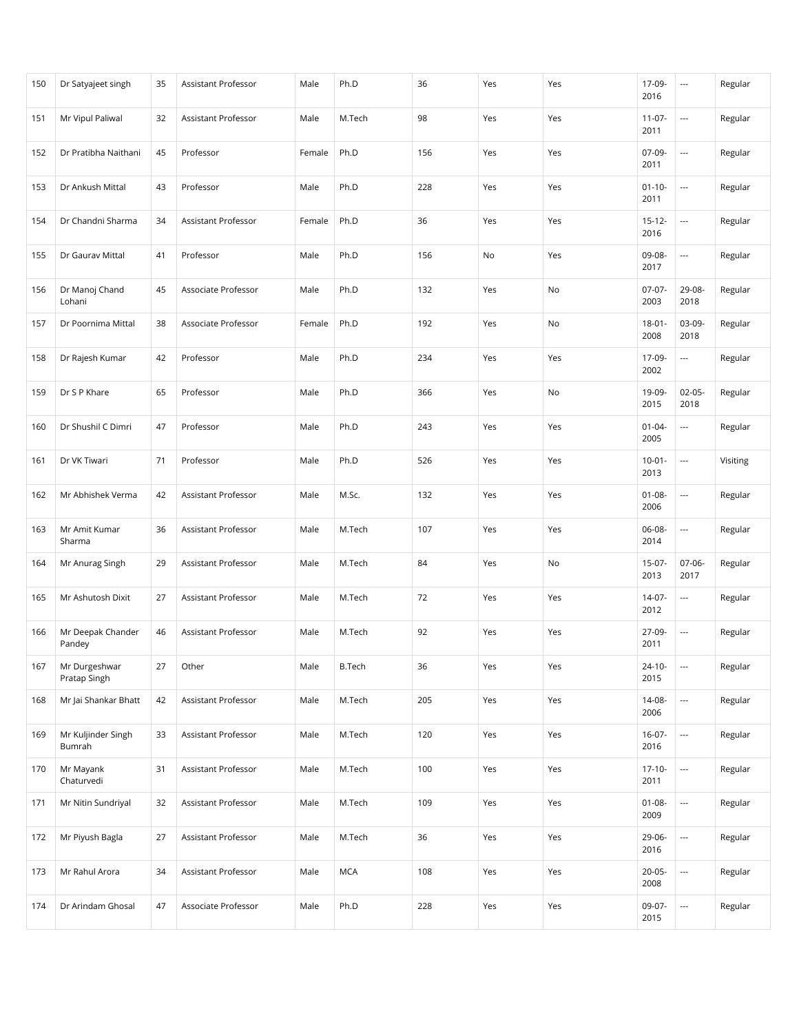| 150 | Dr Satyajeet singh            | 35 | Assistant Professor        | Male   | Ph.D          | 36  | Yes | Yes | 17-09-<br>2016      | $\hspace{0.05cm} \ldots$ | Regular  |
|-----|-------------------------------|----|----------------------------|--------|---------------|-----|-----|-----|---------------------|--------------------------|----------|
| 151 | Mr Vipul Paliwal              | 32 | Assistant Professor        | Male   | M.Tech        | 98  | Yes | Yes | $11-07-$<br>2011    | $\overline{\phantom{a}}$ | Regular  |
| 152 | Dr Pratibha Naithani          | 45 | Professor                  | Female | Ph.D          | 156 | Yes | Yes | 07-09-<br>2011      | ---                      | Regular  |
| 153 | Dr Ankush Mittal              | 43 | Professor                  | Male   | Ph.D          | 228 | Yes | Yes | $01 - 10 -$<br>2011 | $\overline{\phantom{a}}$ | Regular  |
| 154 | Dr Chandni Sharma             | 34 | Assistant Professor        | Female | Ph.D          | 36  | Yes | Yes | $15 - 12 -$<br>2016 | $\overline{\phantom{a}}$ | Regular  |
| 155 | Dr Gaurav Mittal              | 41 | Professor                  | Male   | Ph.D          | 156 | No  | Yes | 09-08-<br>2017      | $\hspace{0.05cm} \ldots$ | Regular  |
| 156 | Dr Manoj Chand<br>Lohani      | 45 | Associate Professor        | Male   | Ph.D          | 132 | Yes | No  | $07-07-$<br>2003    | 29-08-<br>2018           | Regular  |
| 157 | Dr Poornima Mittal            | 38 | Associate Professor        | Female | Ph.D          | 192 | Yes | No  | $18 - 01 -$<br>2008 | 03-09-<br>2018           | Regular  |
| 158 | Dr Rajesh Kumar               | 42 | Professor                  | Male   | Ph.D          | 234 | Yes | Yes | 17-09-<br>2002      | $\hspace{0.05cm} \ldots$ | Regular  |
| 159 | Dr S P Khare                  | 65 | Professor                  | Male   | Ph.D          | 366 | Yes | No  | 19-09-<br>2015      | $02-05-$<br>2018         | Regular  |
| 160 | Dr Shushil C Dimri            | 47 | Professor                  | Male   | Ph.D          | 243 | Yes | Yes | $01 - 04 -$<br>2005 | $\hspace{0.05cm} \ldots$ | Regular  |
| 161 | Dr VK Tiwari                  | 71 | Professor                  | Male   | Ph.D          | 526 | Yes | Yes | $10 - 01 -$<br>2013 | $\overline{\phantom{a}}$ | Visiting |
| 162 | Mr Abhishek Verma             | 42 | Assistant Professor        | Male   | M.Sc.         | 132 | Yes | Yes | $01 - 08 -$<br>2006 | $\overline{\phantom{a}}$ | Regular  |
| 163 | Mr Amit Kumar<br>Sharma       | 36 | Assistant Professor        | Male   | M.Tech        | 107 | Yes | Yes | 06-08-<br>2014      | $\overline{\phantom{a}}$ | Regular  |
| 164 | Mr Anurag Singh               | 29 | Assistant Professor        | Male   | M.Tech        | 84  | Yes | No  | $15-07-$<br>2013    | 07-06-<br>2017           | Regular  |
| 165 | Mr Ashutosh Dixit             | 27 | <b>Assistant Professor</b> | Male   | M.Tech        | 72  | Yes | Yes | $14-07-$<br>2012    | $\overline{\phantom{a}}$ | Regular  |
| 166 | Mr Deepak Chander<br>Pandey   | 46 | Assistant Professor        | Male   | M.Tech        | 92  | Yes | Yes | 27-09-<br>2011      | $\overline{\phantom{a}}$ | Regular  |
| 167 | Mr Durgeshwar<br>Pratap Singh | 27 | Other                      | Male   | <b>B.Tech</b> | 36  | Yes | Yes | $24 - 10 -$<br>2015 | $\overline{\phantom{a}}$ | Regular  |
| 168 | Mr Jai Shankar Bhatt          | 42 | Assistant Professor        | Male   | M.Tech        | 205 | Yes | Yes | 14-08-<br>2006      | ---                      | Regular  |
| 169 | Mr Kuljinder Singh<br>Bumrah  | 33 | Assistant Professor        | Male   | M.Tech        | 120 | Yes | Yes | $16-07-$<br>2016    | $\overline{\phantom{a}}$ | Regular  |
| 170 | Mr Mayank<br>Chaturvedi       | 31 | Assistant Professor        | Male   | M.Tech        | 100 | Yes | Yes | $17 - 10 -$<br>2011 | $\overline{\phantom{a}}$ | Regular  |
| 171 | Mr Nitin Sundriyal            | 32 | Assistant Professor        | Male   | M.Tech        | 109 | Yes | Yes | $01 - 08 -$<br>2009 | $\scriptstyle\cdots$     | Regular  |
| 172 | Mr Piyush Bagla               | 27 | Assistant Professor        | Male   | M.Tech        | 36  | Yes | Yes | 29-06-<br>2016      | $\overline{\phantom{a}}$ | Regular  |
| 173 | Mr Rahul Arora                | 34 | Assistant Professor        | Male   | <b>MCA</b>    | 108 | Yes | Yes | $20-05-$<br>2008    | $\overline{\phantom{a}}$ | Regular  |
| 174 | Dr Arindam Ghosal             | 47 | Associate Professor        | Male   | Ph.D          | 228 | Yes | Yes | 09-07-<br>2015      | ---                      | Regular  |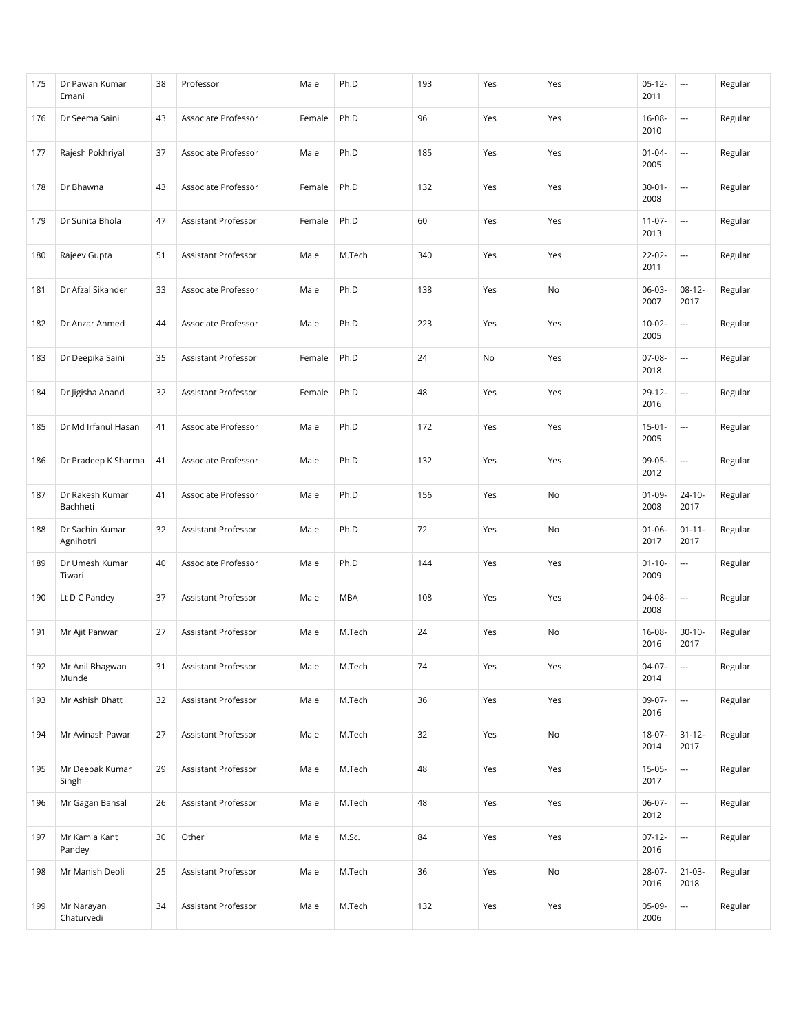| 175 | Dr Pawan Kumar<br>Emani      | 38 | Professor                  | Male   | Ph.D       | 193 | Yes | Yes | $05-12-$<br>2011    | $\overline{\phantom{a}}$ | Regular |
|-----|------------------------------|----|----------------------------|--------|------------|-----|-----|-----|---------------------|--------------------------|---------|
| 176 | Dr Seema Saini               | 43 | Associate Professor        | Female | Ph.D       | 96  | Yes | Yes | $16 - 08 -$<br>2010 | ---                      | Regular |
| 177 | Rajesh Pokhriyal             | 37 | Associate Professor        | Male   | Ph.D       | 185 | Yes | Yes | $01 - 04 -$<br>2005 | ---                      | Regular |
| 178 | Dr Bhawna                    | 43 | Associate Professor        | Female | Ph.D       | 132 | Yes | Yes | $30 - 01 -$<br>2008 | $\overline{a}$           | Regular |
| 179 | Dr Sunita Bhola              | 47 | Assistant Professor        | Female | Ph.D       | 60  | Yes | Yes | $11-07-$<br>2013    | $\overline{\phantom{a}}$ | Regular |
| 180 | Rajeev Gupta                 | 51 | Assistant Professor        | Male   | M.Tech     | 340 | Yes | Yes | $22 - 02 -$<br>2011 | $\overline{\phantom{a}}$ | Regular |
| 181 | Dr Afzal Sikander            | 33 | Associate Professor        | Male   | Ph.D       | 138 | Yes | No  | $06-03-$<br>2007    | $08-12-$<br>2017         | Regular |
| 182 | Dr Anzar Ahmed               | 44 | Associate Professor        | Male   | Ph.D       | 223 | Yes | Yes | $10-02-$<br>2005    | $\overline{\phantom{a}}$ | Regular |
| 183 | Dr Deepika Saini             | 35 | Assistant Professor        | Female | Ph.D       | 24  | No  | Yes | $07-08-$<br>2018    | $\overline{\phantom{a}}$ | Regular |
| 184 | Dr Jigisha Anand             | 32 | Assistant Professor        | Female | Ph.D       | 48  | Yes | Yes | $29 - 12 -$<br>2016 | ---                      | Regular |
| 185 | Dr Md Irfanul Hasan          | 41 | Associate Professor        | Male   | Ph.D       | 172 | Yes | Yes | $15-01-$<br>2005    | ---                      | Regular |
| 186 | Dr Pradeep K Sharma          | 41 | Associate Professor        | Male   | Ph.D       | 132 | Yes | Yes | 09-05-<br>2012      | $\overline{\phantom{a}}$ | Regular |
| 187 | Dr Rakesh Kumar<br>Bachheti  | 41 | Associate Professor        | Male   | Ph.D       | 156 | Yes | No  | $01-09-$<br>2008    | $24 - 10 -$<br>2017      | Regular |
| 188 | Dr Sachin Kumar<br>Agnihotri | 32 | Assistant Professor        | Male   | Ph.D       | 72  | Yes | No  | $01 - 06 -$<br>2017 | $01 - 11 -$<br>2017      | Regular |
| 189 | Dr Umesh Kumar<br>Tiwari     | 40 | Associate Professor        | Male   | Ph.D       | 144 | Yes | Yes | $01 - 10 -$<br>2009 | $\overline{\phantom{a}}$ | Regular |
| 190 | Lt D C Pandey                | 37 | Assistant Professor        | Male   | <b>MBA</b> | 108 | Yes | Yes | 04-08-<br>2008      | $\overline{\phantom{a}}$ | Regular |
| 191 | Mr Ajit Panwar               | 27 | Assistant Professor        | Male   | M.Tech     | 24  | Yes | No  | 16-08-<br>2016      | $30-10-$<br>2017         | Regular |
| 192 | Mr Anil Bhagwan<br>Munde     | 31 | Assistant Professor        | Male   | M.Tech     | 74  | Yes | Yes | 04-07-<br>2014      | $\overline{\phantom{a}}$ | Regular |
| 193 | Mr Ashish Bhatt              | 32 | Assistant Professor        | Male   | M.Tech     | 36  | Yes | Yes | 09-07-<br>2016      | ---                      | Regular |
| 194 | Mr Avinash Pawar             | 27 | Assistant Professor        | Male   | M.Tech     | 32  | Yes | No  | 18-07-<br>2014      | $31 - 12 -$<br>2017      | Regular |
| 195 | Mr Deepak Kumar<br>Singh     | 29 | Assistant Professor        | Male   | M.Tech     | 48  | Yes | Yes | $15-05-$<br>2017    | $\overline{\phantom{a}}$ | Regular |
| 196 | Mr Gagan Bansal              | 26 | <b>Assistant Professor</b> | Male   | M.Tech     | 48  | Yes | Yes | 06-07-<br>2012      | $\overline{\phantom{a}}$ | Regular |
| 197 | Mr Kamla Kant<br>Pandey      | 30 | Other                      | Male   | M.Sc.      | 84  | Yes | Yes | $07-12-$<br>2016    | $\overline{\phantom{a}}$ | Regular |
| 198 | Mr Manish Deoli              | 25 | Assistant Professor        | Male   | M.Tech     | 36  | Yes | No  | 28-07-<br>2016      | $21 - 03 -$<br>2018      | Regular |
| 199 | Mr Narayan<br>Chaturvedi     | 34 | Assistant Professor        | Male   | M.Tech     | 132 | Yes | Yes | 05-09-<br>2006      | $\overline{\phantom{a}}$ | Regular |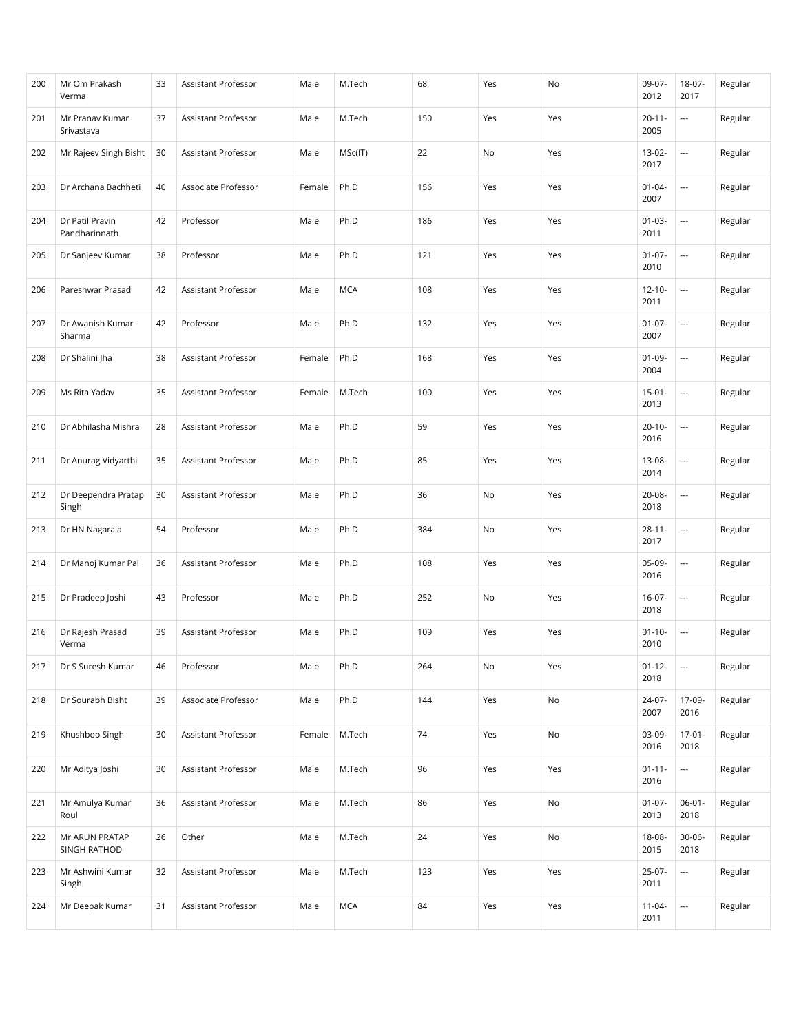| 200 | Mr Om Prakash<br>Verma           | 33 | <b>Assistant Professor</b> | Male   | M.Tech     | 68  | Yes | No  | $09-07-$<br>2012    | 18-07-<br>2017           | Regular |
|-----|----------------------------------|----|----------------------------|--------|------------|-----|-----|-----|---------------------|--------------------------|---------|
| 201 | Mr Pranav Kumar<br>Srivastava    | 37 | <b>Assistant Professor</b> | Male   | M.Tech     | 150 | Yes | Yes | $20 - 11 -$<br>2005 | $\overline{\phantom{a}}$ | Regular |
| 202 | Mr Rajeev Singh Bisht            | 30 | Assistant Professor        | Male   | MSc(IT)    | 22  | No  | Yes | 13-02-<br>2017      |                          | Regular |
| 203 | Dr Archana Bachheti              | 40 | Associate Professor        | Female | Ph.D       | 156 | Yes | Yes | $01 - 04 -$<br>2007 | $\overline{\phantom{a}}$ | Regular |
| 204 | Dr Patil Pravin<br>Pandharinnath | 42 | Professor                  | Male   | Ph.D       | 186 | Yes | Yes | $01-03-$<br>2011    | ---                      | Regular |
| 205 | Dr Sanjeev Kumar                 | 38 | Professor                  | Male   | Ph.D       | 121 | Yes | Yes | $01-07-$<br>2010    | $\overline{\phantom{a}}$ | Regular |
| 206 | Pareshwar Prasad                 | 42 | Assistant Professor        | Male   | <b>MCA</b> | 108 | Yes | Yes | $12 - 10 -$<br>2011 | $\overline{\phantom{a}}$ | Regular |
| 207 | Dr Awanish Kumar<br>Sharma       | 42 | Professor                  | Male   | Ph.D       | 132 | Yes | Yes | $01-07-$<br>2007    | $\overline{\phantom{a}}$ | Regular |
| 208 | Dr Shalini Jha                   | 38 | <b>Assistant Professor</b> | Female | Ph.D       | 168 | Yes | Yes | $01 - 09 -$<br>2004 | $\overline{\phantom{a}}$ | Regular |
| 209 | Ms Rita Yadav                    | 35 | Assistant Professor        | Female | M.Tech     | 100 | Yes | Yes | $15 - 01 -$<br>2013 | $\overline{\phantom{a}}$ | Regular |
| 210 | Dr Abhilasha Mishra              | 28 | <b>Assistant Professor</b> | Male   | Ph.D       | 59  | Yes | Yes | $20 - 10 -$<br>2016 | $\overline{\phantom{a}}$ | Regular |
| 211 | Dr Anurag Vidyarthi              | 35 | Assistant Professor        | Male   | Ph.D       | 85  | Yes | Yes | 13-08-<br>2014      | $\overline{\phantom{a}}$ | Regular |
| 212 | Dr Deependra Pratap<br>Singh     | 30 | Assistant Professor        | Male   | Ph.D       | 36  | No  | Yes | 20-08-<br>2018      | $\overline{\phantom{a}}$ | Regular |
| 213 | Dr HN Nagaraja                   | 54 | Professor                  | Male   | Ph.D       | 384 | No  | Yes | $28 - 11 -$<br>2017 | $\overline{\phantom{a}}$ | Regular |
| 214 | Dr Manoj Kumar Pal               | 36 | Assistant Professor        | Male   | Ph.D       | 108 | Yes | Yes | 05-09-<br>2016      | $\overline{\phantom{a}}$ | Regular |
| 215 | Dr Pradeep Joshi                 | 43 | Professor                  | Male   | Ph.D       | 252 | No  | Yes | $16-07-$<br>2018    | ---                      | Regular |
| 216 | Dr Rajesh Prasad<br>Verma        | 39 | Assistant Professor        | Male   | Ph.D       | 109 | Yes | Yes | $01 - 10 -$<br>2010 | ---                      | Regular |
| 217 | Dr S Suresh Kumar                | 46 | Professor                  | Male   | Ph.D       | 264 | No  | Yes | $01 - 12 -$<br>2018 | $\overline{\phantom{a}}$ | Regular |
| 218 | Dr Sourabh Bisht                 | 39 | Associate Professor        | Male   | Ph.D       | 144 | Yes | No  | 24-07-<br>2007      | 17-09-<br>2016           | Regular |
| 219 | Khushboo Singh                   | 30 | Assistant Professor        | Female | M.Tech     | 74  | Yes | No  | 03-09-<br>2016      | $17-01-$<br>2018         | Regular |
| 220 | Mr Aditya Joshi                  | 30 | Assistant Professor        | Male   | M.Tech     | 96  | Yes | Yes | $01 - 11 -$<br>2016 | ---                      | Regular |
| 221 | Mr Amulya Kumar<br>Roul          | 36 | Assistant Professor        | Male   | M.Tech     | 86  | Yes | No  | $01-07-$<br>2013    | $06-01-$<br>2018         | Regular |
| 222 | Mr ARUN PRATAP<br>SINGH RATHOD   | 26 | Other                      | Male   | M.Tech     | 24  | Yes | No  | 18-08-<br>2015      | $30-06-$<br>2018         | Regular |
| 223 | Mr Ashwini Kumar<br>Singh        | 32 | Assistant Professor        | Male   | M.Tech     | 123 | Yes | Yes | $25-07-$<br>2011    | ---                      | Regular |
| 224 | Mr Deepak Kumar                  | 31 | Assistant Professor        | Male   | <b>MCA</b> | 84  | Yes | Yes | $11 - 04 -$<br>2011 | $\overline{\phantom{a}}$ | Regular |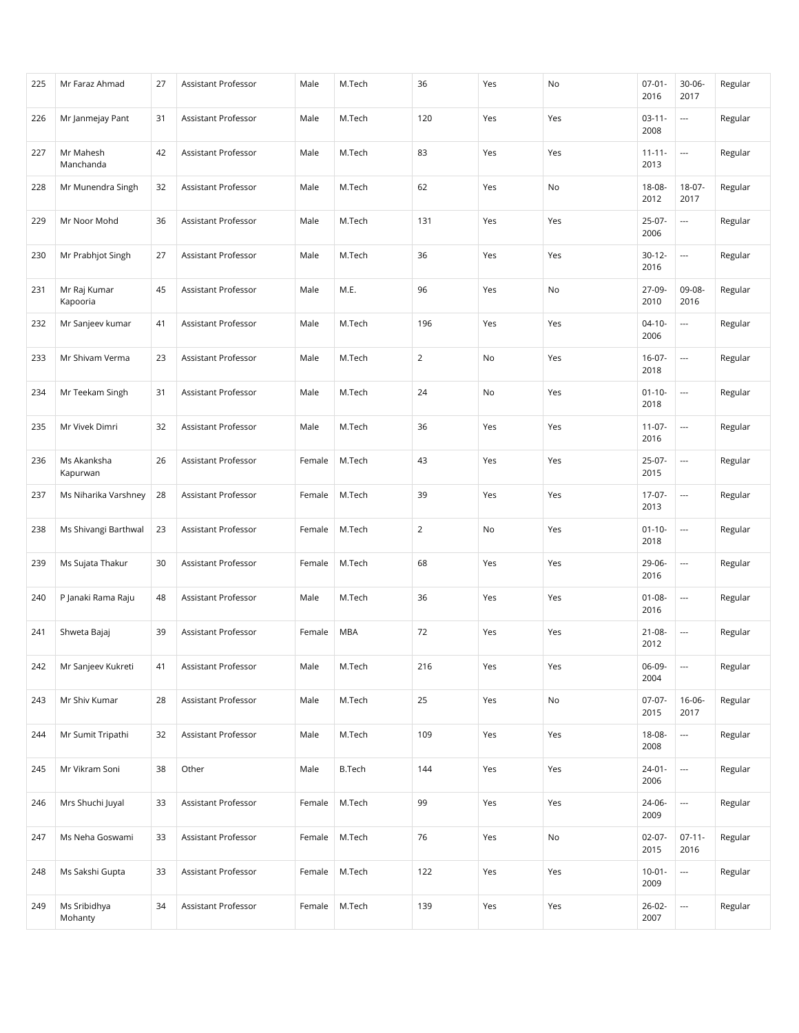| 225 | Mr Faraz Ahmad           | 27 | Assistant Professor        | Male   | M.Tech        | 36  | Yes | No  | $07 - 01 -$<br>2016 | $30 - 06 -$<br>2017      | Regular |
|-----|--------------------------|----|----------------------------|--------|---------------|-----|-----|-----|---------------------|--------------------------|---------|
| 226 | Mr Janmejay Pant         | 31 | Assistant Professor        | Male   | M.Tech        | 120 | Yes | Yes | $03 - 11 -$<br>2008 | $\overline{\phantom{a}}$ | Regular |
| 227 | Mr Mahesh<br>Manchanda   | 42 | Assistant Professor        | Male   | M.Tech        | 83  | Yes | Yes | $11 - 11 -$<br>2013 | $\overline{\phantom{a}}$ | Regular |
| 228 | Mr Munendra Singh        | 32 | Assistant Professor        | Male   | M.Tech        | 62  | Yes | No  | $18 - 08 -$<br>2012 | $18-07-$<br>2017         | Regular |
| 229 | Mr Noor Mohd             | 36 | Assistant Professor        | Male   | M.Tech        | 131 | Yes | Yes | $25-07-$<br>2006    | $\overline{\phantom{a}}$ | Regular |
| 230 | Mr Prabhjot Singh        | 27 | Assistant Professor        | Male   | M.Tech        | 36  | Yes | Yes | $30 - 12 -$<br>2016 | $\overline{\phantom{a}}$ | Regular |
| 231 | Mr Raj Kumar<br>Kapooria | 45 | Assistant Professor        | Male   | M.E.          | 96  | Yes | No  | 27-09-<br>2010      | 09-08-<br>2016           | Regular |
| 232 | Mr Sanjeev kumar         | 41 | Assistant Professor        | Male   | M.Tech        | 196 | Yes | Yes | $04 - 10 -$<br>2006 | ---                      | Regular |
| 233 | Mr Shivam Verma          | 23 | <b>Assistant Professor</b> | Male   | M.Tech        | 2   | No  | Yes | $16-07-$<br>2018    | $\overline{\phantom{a}}$ | Regular |
| 234 | Mr Teekam Singh          | 31 | Assistant Professor        | Male   | M.Tech        | 24  | No  | Yes | $01 - 10 -$<br>2018 | $\overline{\phantom{a}}$ | Regular |
| 235 | Mr Vivek Dimri           | 32 | Assistant Professor        | Male   | M.Tech        | 36  | Yes | Yes | $11-07-$<br>2016    | $\overline{\phantom{a}}$ | Regular |
| 236 | Ms Akanksha<br>Kapurwan  | 26 | Assistant Professor        | Female | M.Tech        | 43  | Yes | Yes | $25-07-$<br>2015    | $\overline{\phantom{a}}$ | Regular |
| 237 | Ms Niharika Varshney     | 28 | Assistant Professor        | Female | M.Tech        | 39  | Yes | Yes | $17-07-$<br>2013    | $\overline{\phantom{a}}$ | Regular |
| 238 | Ms Shivangi Barthwal     | 23 | Assistant Professor        | Female | M.Tech        | 2   | No  | Yes | $01 - 10 -$<br>2018 | $\overline{\phantom{a}}$ | Regular |
| 239 | Ms Sujata Thakur         | 30 | Assistant Professor        | Female | M.Tech        | 68  | Yes | Yes | 29-06-<br>2016      | ---                      | Regular |
| 240 | P Janaki Rama Raju       | 48 | Assistant Professor        | Male   | M.Tech        | 36  | Yes | Yes | $01 - 08 -$<br>2016 | ---                      | Regular |
| 241 | Shweta Bajaj             | 39 | Assistant Professor        | Female | <b>MBA</b>    | 72  | Yes | Yes | $21 - 08 -$<br>2012 | $\overline{\phantom{a}}$ | Regular |
| 242 | Mr Sanjeev Kukreti       | 41 | Assistant Professor        | Male   | M.Tech        | 216 | Yes | Yes | 06-09-<br>2004      | $\overline{\phantom{a}}$ | Regular |
| 243 | Mr Shiv Kumar            | 28 | Assistant Professor        | Male   | M.Tech        | 25  | Yes | No  | $07-07-$<br>2015    | $16 - 06 -$<br>2017      | Regular |
| 244 | Mr Sumit Tripathi        | 32 | Assistant Professor        | Male   | M.Tech        | 109 | Yes | Yes | $18 - 08 -$<br>2008 | ---                      | Regular |
| 245 | Mr Vikram Soni           | 38 | Other                      | Male   | <b>B.Tech</b> | 144 | Yes | Yes | $24-01-$<br>2006    | $\overline{\phantom{a}}$ | Regular |
| 246 | Mrs Shuchi Juyal         | 33 | Assistant Professor        | Female | M.Tech        | 99  | Yes | Yes | 24-06-<br>2009      | $\hspace{0.05cm} \ldots$ | Regular |
| 247 | Ms Neha Goswami          | 33 | Assistant Professor        | Female | M.Tech        | 76  | Yes | No  | $02-07-$<br>2015    | $07 - 11 -$<br>2016      | Regular |
| 248 | Ms Sakshi Gupta          | 33 | Assistant Professor        | Female | M.Tech        | 122 | Yes | Yes | $10-01 -$<br>2009   | $\overline{\phantom{a}}$ | Regular |
| 249 | Ms Sribidhya<br>Mohanty  | 34 | Assistant Professor        | Female | M.Tech        | 139 | Yes | Yes | $26 - 02 -$<br>2007 | $\hspace{0.05cm} \ldots$ | Regular |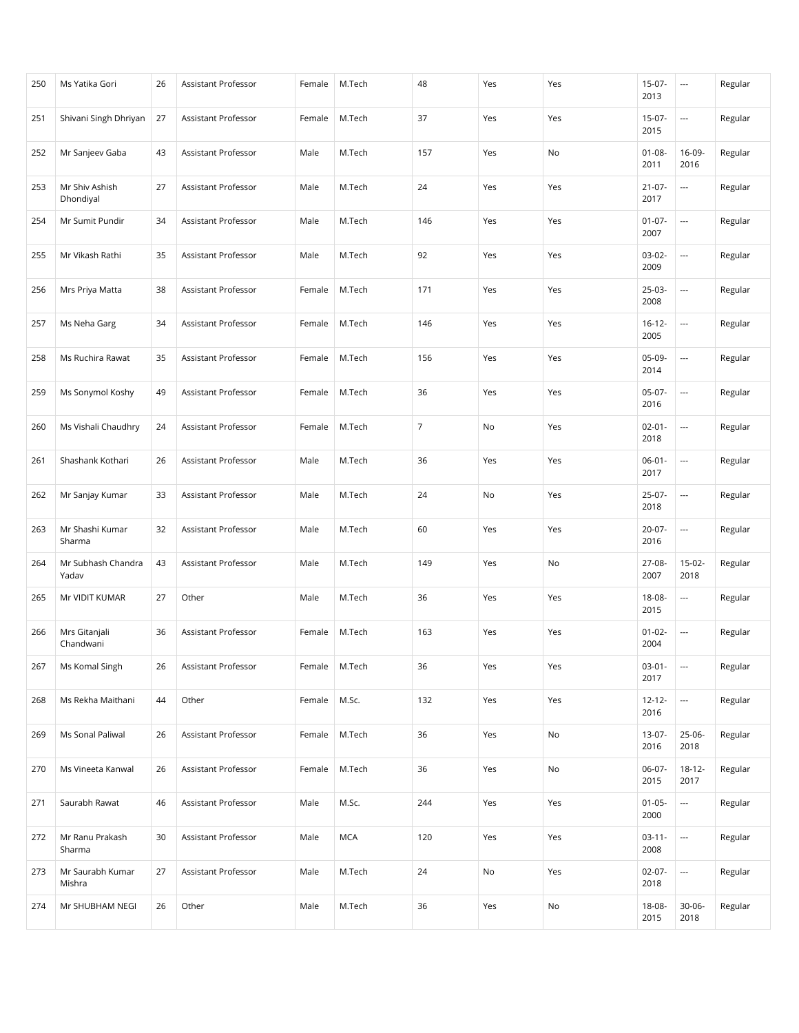| 250 | Ms Yatika Gori              | 26 | Assistant Professor        | Female | M.Tech     | 48             | Yes | Yes | $15-07-$<br>2013    | $\cdots$                 | Regular |
|-----|-----------------------------|----|----------------------------|--------|------------|----------------|-----|-----|---------------------|--------------------------|---------|
| 251 | Shivani Singh Dhriyan       | 27 | <b>Assistant Professor</b> | Female | M.Tech     | 37             | Yes | Yes | $15-07-$<br>2015    | $\overline{\phantom{a}}$ | Regular |
| 252 | Mr Sanjeev Gaba             | 43 | Assistant Professor        | Male   | M.Tech     | 157            | Yes | No  | $01 - 08 -$<br>2011 | 16-09-<br>2016           | Regular |
| 253 | Mr Shiv Ashish<br>Dhondiyal | 27 | Assistant Professor        | Male   | M.Tech     | 24             | Yes | Yes | $21 - 07 -$<br>2017 | ---                      | Regular |
| 254 | Mr Sumit Pundir             | 34 | Assistant Professor        | Male   | M.Tech     | 146            | Yes | Yes | $01-07-$<br>2007    | $\overline{\phantom{a}}$ | Regular |
| 255 | Mr Vikash Rathi             | 35 | <b>Assistant Professor</b> | Male   | M.Tech     | 92             | Yes | Yes | $03-02-$<br>2009    | $\overline{\phantom{a}}$ | Regular |
| 256 | Mrs Priya Matta             | 38 | Assistant Professor        | Female | M.Tech     | 171            | Yes | Yes | $25-03-$<br>2008    | $\overline{\phantom{a}}$ | Regular |
| 257 | Ms Neha Garg                | 34 | Assistant Professor        | Female | M.Tech     | 146            | Yes | Yes | $16 - 12 -$<br>2005 | $\overline{\phantom{a}}$ | Regular |
| 258 | Ms Ruchira Rawat            | 35 | Assistant Professor        | Female | M.Tech     | 156            | Yes | Yes | $05-09-$<br>2014    | $\overline{\phantom{a}}$ | Regular |
| 259 | Ms Sonymol Koshy            | 49 | Assistant Professor        | Female | M.Tech     | 36             | Yes | Yes | $05-07-$<br>2016    | $\overline{\phantom{a}}$ | Regular |
| 260 | Ms Vishali Chaudhry         | 24 | Assistant Professor        | Female | M.Tech     | $\overline{7}$ | No  | Yes | $02 - 01 -$<br>2018 | $\overline{\phantom{a}}$ | Regular |
| 261 | Shashank Kothari            | 26 | Assistant Professor        | Male   | M.Tech     | 36             | Yes | Yes | $06 - 01 -$<br>2017 | $\overline{\phantom{a}}$ | Regular |
| 262 | Mr Sanjay Kumar             | 33 | Assistant Professor        | Male   | M.Tech     | 24             | No  | Yes | $25-07-$<br>2018    | $\overline{\phantom{a}}$ | Regular |
| 263 | Mr Shashi Kumar<br>Sharma   | 32 | Assistant Professor        | Male   | M.Tech     | 60             | Yes | Yes | $20 - 07 -$<br>2016 | $\overline{\phantom{a}}$ | Regular |
| 264 | Mr Subhash Chandra<br>Yadav | 43 | Assistant Professor        | Male   | M.Tech     | 149            | Yes | No  | 27-08-<br>2007      | $15-02-$<br>2018         | Regular |
| 265 | Mr VIDIT KUMAR              | 27 | Other                      | Male   | M.Tech     | 36             | Yes | Yes | 18-08-<br>2015      | ---                      | Regular |
| 266 | Mrs Gitanjali<br>Chandwani  | 36 | Assistant Professor        | Female | M.Tech     | 163            | Yes | Yes | $01 - 02 -$<br>2004 | ---                      | Regular |
| 267 | Ms Komal Singh              | 26 | Assistant Professor        | Female | M.Tech     | 36             | Yes | Yes | $03-01 -$<br>2017   | $\overline{\phantom{a}}$ | Regular |
| 268 | Ms Rekha Maithani           | 44 | Other                      | Female | M.Sc.      | 132            | Yes | Yes | $12 - 12 -$<br>2016 | $\overline{\phantom{a}}$ | Regular |
| 269 | Ms Sonal Paliwal            | 26 | Assistant Professor        | Female | M.Tech     | 36             | Yes | No  | $13-07-$<br>2016    | $25-06-$<br>2018         | Regular |
| 270 | Ms Vineeta Kanwal           | 26 | Assistant Professor        | Female | M.Tech     | 36             | Yes | No  | $06-07-$<br>2015    | $18 - 12 -$<br>2017      | Regular |
| 271 | Saurabh Rawat               | 46 | Assistant Professor        | Male   | M.Sc.      | 244            | Yes | Yes | $01 - 05 -$<br>2000 | $\hspace{0.05cm} \ldots$ | Regular |
| 272 | Mr Ranu Prakash<br>Sharma   | 30 | Assistant Professor        | Male   | <b>MCA</b> | 120            | Yes | Yes | $03 - 11 -$<br>2008 | $\hspace{0.05cm} \ldots$ | Regular |
| 273 | Mr Saurabh Kumar<br>Mishra  | 27 | Assistant Professor        | Male   | M.Tech     | 24             | No  | Yes | $02-07-$<br>2018    | $\overline{\phantom{a}}$ | Regular |
| 274 | Mr SHUBHAM NEGI             | 26 | Other                      | Male   | M.Tech     | 36             | Yes | No  | 18-08-<br>2015      | $30 - 06 -$<br>2018      | Regular |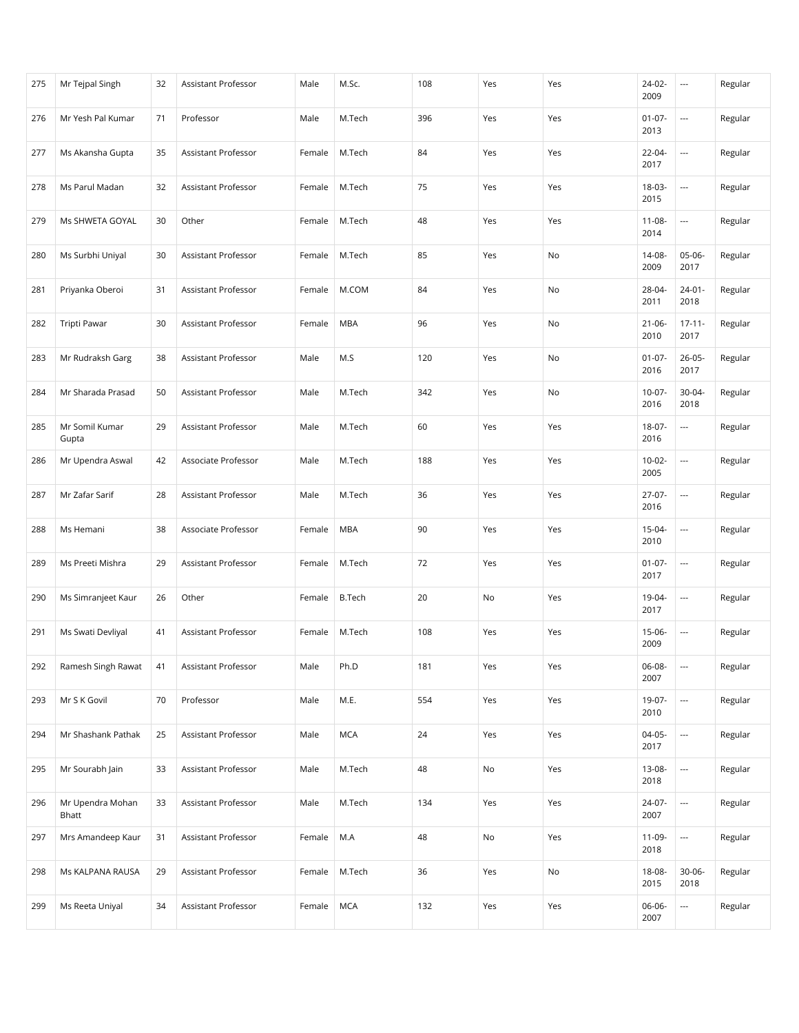| 275 | Mr Tejpal Singh           | 32 | Assistant Professor        | Male   | M.Sc.         | 108 | Yes | Yes | $24-02-$<br>2009    | $\hspace{0.05cm} \ldots$ | Regular |
|-----|---------------------------|----|----------------------------|--------|---------------|-----|-----|-----|---------------------|--------------------------|---------|
| 276 | Mr Yesh Pal Kumar         | 71 | Professor                  | Male   | M.Tech        | 396 | Yes | Yes | $01-07-$<br>2013    | ---                      | Regular |
| 277 | Ms Akansha Gupta          | 35 | Assistant Professor        | Female | M.Tech        | 84  | Yes | Yes | 22-04-<br>2017      |                          | Regular |
| 278 | Ms Parul Madan            | 32 | Assistant Professor        | Female | M.Tech        | 75  | Yes | Yes | 18-03-<br>2015      | $\overline{\phantom{a}}$ | Regular |
| 279 | Ms SHWETA GOYAL           | 30 | Other                      | Female | M.Tech        | 48  | Yes | Yes | $11 - 08 -$<br>2014 | $\overline{\phantom{a}}$ | Regular |
| 280 | Ms Surbhi Uniyal          | 30 | Assistant Professor        | Female | M.Tech        | 85  | Yes | No  | 14-08-<br>2009      | 05-06-<br>2017           | Regular |
| 281 | Priyanka Oberoi           | 31 | Assistant Professor        | Female | M.COM         | 84  | Yes | No  | 28-04-<br>2011      | $24-01-$<br>2018         | Regular |
| 282 | <b>Tripti Pawar</b>       | 30 | Assistant Professor        | Female | <b>MBA</b>    | 96  | Yes | No  | $21 - 06 -$<br>2010 | $17 - 11 -$<br>2017      | Regular |
| 283 | Mr Rudraksh Garg          | 38 | Assistant Professor        | Male   | M.S           | 120 | Yes | No  | $01-07-$<br>2016    | $26 - 05 -$<br>2017      | Regular |
| 284 | Mr Sharada Prasad         | 50 | Assistant Professor        | Male   | M.Tech        | 342 | Yes | No  | $10-07 -$<br>2016   | $30 - 04 -$<br>2018      | Regular |
| 285 | Mr Somil Kumar<br>Gupta   | 29 | Assistant Professor        | Male   | M.Tech        | 60  | Yes | Yes | 18-07-<br>2016      | $\overline{\phantom{a}}$ | Regular |
| 286 | Mr Upendra Aswal          | 42 | Associate Professor        | Male   | M.Tech        | 188 | Yes | Yes | $10-02-$<br>2005    | $\overline{\phantom{a}}$ | Regular |
| 287 | Mr Zafar Sarif            | 28 | Assistant Professor        | Male   | M.Tech        | 36  | Yes | Yes | $27-07-$<br>2016    | $\overline{\phantom{a}}$ | Regular |
| 288 | Ms Hemani                 | 38 | Associate Professor        | Female | <b>MBA</b>    | 90  | Yes | Yes | 15-04-<br>2010      | $\overline{\phantom{a}}$ | Regular |
| 289 | Ms Preeti Mishra          | 29 | Assistant Professor        | Female | M.Tech        | 72  | Yes | Yes | $01 - 07 -$<br>2017 | $\overline{\phantom{a}}$ | Regular |
| 290 | Ms Simranjeet Kaur        | 26 | Other                      | Female | <b>B.Tech</b> | 20  | No  | Yes | 19-04-<br>2017      | ---                      | Regular |
| 291 | Ms Swati Devliyal         | 41 | <b>Assistant Professor</b> | Female | M.Tech        | 108 | Yes | Yes | $15-06-$<br>2009    | $\overline{\phantom{a}}$ | Regular |
| 292 | Ramesh Singh Rawat        | 41 | Assistant Professor        | Male   | Ph.D          | 181 | Yes | Yes | 06-08-<br>2007      | $\overline{\phantom{a}}$ | Regular |
| 293 | Mr S K Govil              | 70 | Professor                  | Male   | M.E.          | 554 | Yes | Yes | 19-07-<br>2010      | ---                      | Regular |
| 294 | Mr Shashank Pathak        | 25 | Assistant Professor        | Male   | <b>MCA</b>    | 24  | Yes | Yes | $04-05-$<br>2017    |                          | Regular |
| 295 | Mr Sourabh Jain           | 33 | Assistant Professor        | Male   | M.Tech        | 48  | No  | Yes | 13-08-<br>2018      |                          | Regular |
| 296 | Mr Upendra Mohan<br>Bhatt | 33 | Assistant Professor        | Male   | M.Tech        | 134 | Yes | Yes | 24-07-<br>2007      | $\hspace{0.05cm} \ldots$ | Regular |
| 297 | Mrs Amandeep Kaur         | 31 | Assistant Professor        | Female | M.A           | 48  | No  | Yes | 11-09-<br>2018      | $\hspace{0.05cm} \ldots$ | Regular |
| 298 | Ms KALPANA RAUSA          | 29 | Assistant Professor        | Female | M.Tech        | 36  | Yes | No  | 18-08-<br>2015      | $30 - 06 -$<br>2018      | Regular |
| 299 | Ms Reeta Uniyal           | 34 | Assistant Professor        | Female | <b>MCA</b>    | 132 | Yes | Yes | 06-06-<br>2007      | $\scriptstyle\cdots$     | Regular |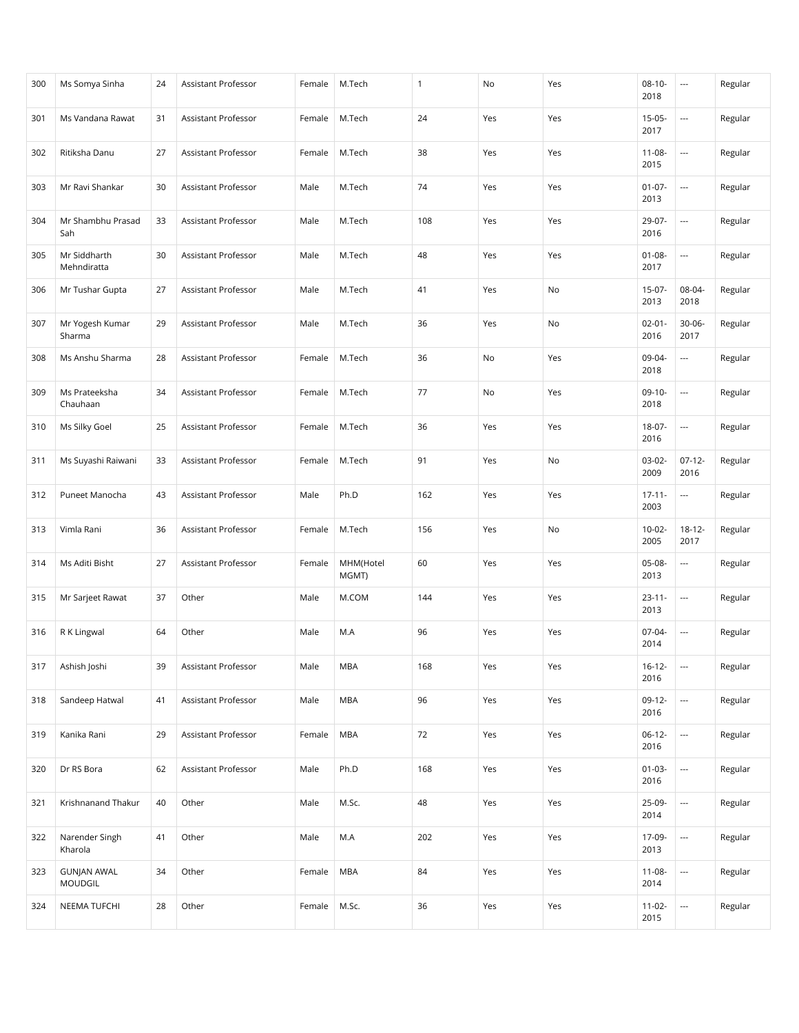| 300 | Ms Somya Sinha                       | 24 | <b>Assistant Professor</b> | Female | M.Tech             | $\mathbf{1}$ | No  | Yes | $08 - 10 -$<br>2018 | $\hspace{0.05cm} \ldots$ | Regular |
|-----|--------------------------------------|----|----------------------------|--------|--------------------|--------------|-----|-----|---------------------|--------------------------|---------|
| 301 | Ms Vandana Rawat                     | 31 | Assistant Professor        | Female | M.Tech             | 24           | Yes | Yes | $15-05-$<br>2017    | $\overline{\phantom{a}}$ | Regular |
| 302 | Ritiksha Danu                        | 27 | Assistant Professor        | Female | M.Tech             | 38           | Yes | Yes | $11 - 08 -$<br>2015 | ---                      | Regular |
| 303 | Mr Ravi Shankar                      | 30 | Assistant Professor        | Male   | M.Tech             | 74           | Yes | Yes | $01 - 07 -$<br>2013 | $\overline{\phantom{a}}$ | Regular |
| 304 | Mr Shambhu Prasad<br>Sah             | 33 | Assistant Professor        | Male   | M.Tech             | 108          | Yes | Yes | 29-07-<br>2016      | ---                      | Regular |
| 305 | Mr Siddharth<br>Mehndiratta          | 30 | Assistant Professor        | Male   | M.Tech             | 48           | Yes | Yes | $01 - 08 -$<br>2017 | $\overline{\phantom{a}}$ | Regular |
| 306 | Mr Tushar Gupta                      | 27 | Assistant Professor        | Male   | M.Tech             | 41           | Yes | No  | $15-07-$<br>2013    | 08-04-<br>2018           | Regular |
| 307 | Mr Yogesh Kumar<br>Sharma            | 29 | Assistant Professor        | Male   | M.Tech             | 36           | Yes | No  | $02 - 01 -$<br>2016 | $30 - 06 -$<br>2017      | Regular |
| 308 | Ms Anshu Sharma                      | 28 | Assistant Professor        | Female | M.Tech             | 36           | No  | Yes | 09-04-<br>2018      | ---                      | Regular |
| 309 | Ms Prateeksha<br>Chauhaan            | 34 | Assistant Professor        | Female | M.Tech             | 77           | No  | Yes | $09-10-$<br>2018    | $\overline{\phantom{a}}$ | Regular |
| 310 | Ms Silky Goel                        | 25 | Assistant Professor        | Female | M.Tech             | 36           | Yes | Yes | 18-07-<br>2016      | ---                      | Regular |
| 311 | Ms Suyashi Raiwani                   | 33 | Assistant Professor        | Female | M.Tech             | 91           | Yes | No  | $03-02-$<br>2009    | $07-12-$<br>2016         | Regular |
| 312 | Puneet Manocha                       | 43 | Assistant Professor        | Male   | Ph.D               | 162          | Yes | Yes | $17 - 11 -$<br>2003 | ---                      | Regular |
| 313 | Vimla Rani                           | 36 | Assistant Professor        | Female | M.Tech             | 156          | Yes | No  | $10-02 -$<br>2005   | $18 - 12 -$<br>2017      | Regular |
| 314 | Ms Aditi Bisht                       | 27 | Assistant Professor        | Female | MHM(Hotel<br>MGMT) | 60           | Yes | Yes | 05-08-<br>2013      | ---                      | Regular |
| 315 | Mr Sarjeet Rawat                     | 37 | Other                      | Male   | M.COM              | 144          | Yes | Yes | $23 - 11 -$<br>2013 | ---                      | Regular |
| 316 | R K Lingwal                          | 64 | Other                      | Male   | M.A                | 96           | Yes | Yes | $07-04-$<br>2014    | ---                      | Regular |
| 317 | Ashish Joshi                         | 39 | Assistant Professor        | Male   | <b>MBA</b>         | 168          | Yes | Yes | $16 - 12 -$<br>2016 | $\overline{\phantom{a}}$ | Regular |
| 318 | Sandeep Hatwal                       | 41 | Assistant Professor        | Male   | <b>MBA</b>         | 96           | Yes | Yes | $09-12-$<br>2016    |                          | Regular |
| 319 | Kanika Rani                          | 29 | Assistant Professor        | Female | <b>MBA</b>         | 72           | Yes | Yes | $06-12-$<br>2016    | $\overline{\phantom{a}}$ | Regular |
| 320 | Dr RS Bora                           | 62 | Assistant Professor        | Male   | Ph.D               | 168          | Yes | Yes | $01-03-$<br>2016    | $\overline{\phantom{a}}$ | Regular |
| 321 | Krishnanand Thakur                   | 40 | Other                      | Male   | M.Sc.              | 48           | Yes | Yes | 25-09-<br>2014      | $\overline{\phantom{a}}$ | Regular |
| 322 | Narender Singh<br>Kharola            | 41 | Other                      | Male   | M.A                | 202          | Yes | Yes | 17-09-<br>2013      |                          | Regular |
| 323 | <b>GUNJAN AWAL</b><br><b>MOUDGIL</b> | 34 | Other                      | Female | <b>MBA</b>         | 84           | Yes | Yes | $11 - 08 -$<br>2014 | ---                      | Regular |
| 324 | NEEMA TUFCHI                         | 28 | Other                      | Female | M.Sc.              | 36           | Yes | Yes | $11 - 02 -$<br>2015 | $\overline{\phantom{a}}$ | Regular |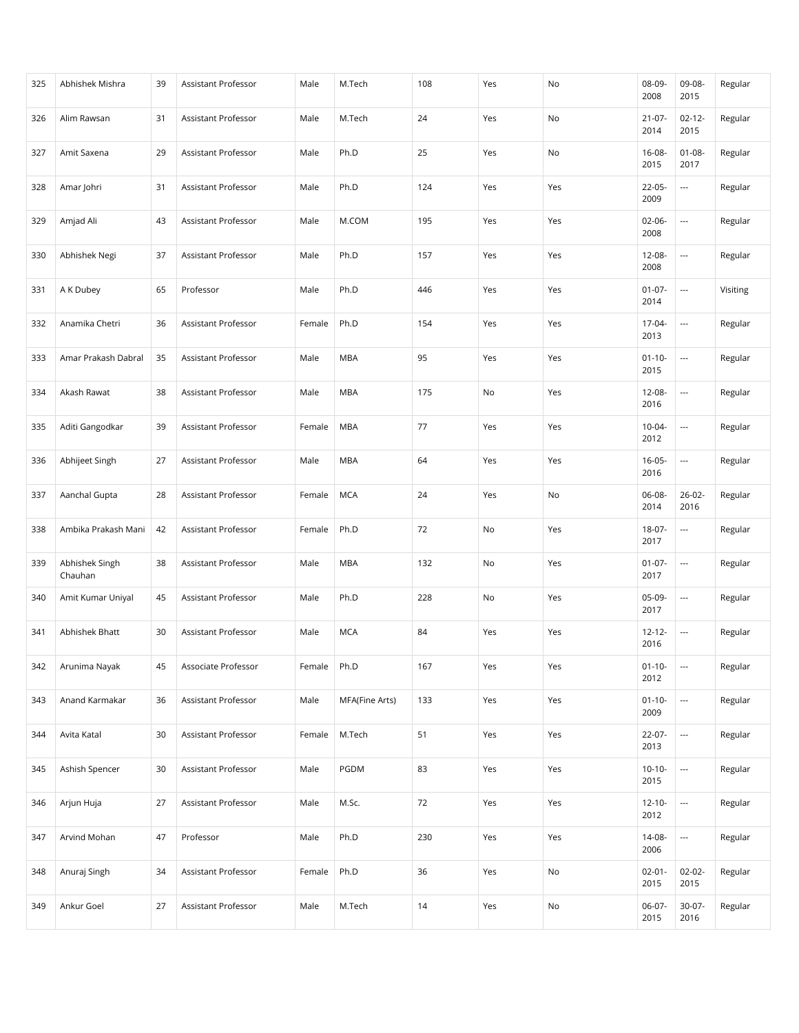| 325 | Abhishek Mishra           | 39 | Assistant Professor        | Male   | M.Tech         | 108 | Yes | No  | 08-09-<br>2008      | 09-08-<br>2015           | Regular  |
|-----|---------------------------|----|----------------------------|--------|----------------|-----|-----|-----|---------------------|--------------------------|----------|
| 326 | Alim Rawsan               | 31 | Assistant Professor        | Male   | M.Tech         | 24  | Yes | No  | $21 - 07 -$<br>2014 | $02 - 12 -$<br>2015      | Regular  |
| 327 | Amit Saxena               | 29 | <b>Assistant Professor</b> | Male   | Ph.D           | 25  | Yes | No  | 16-08-<br>2015      | $01 - 08 -$<br>2017      | Regular  |
| 328 | Amar Johri                | 31 | Assistant Professor        | Male   | Ph.D           | 124 | Yes | Yes | $22 - 05 -$<br>2009 | $\overline{\phantom{a}}$ | Regular  |
| 329 | Amjad Ali                 | 43 | Assistant Professor        | Male   | M.COM          | 195 | Yes | Yes | $02 - 06 -$<br>2008 | ---                      | Regular  |
| 330 | Abhishek Negi             | 37 | Assistant Professor        | Male   | Ph.D           | 157 | Yes | Yes | 12-08-<br>2008      | ---                      | Regular  |
| 331 | A K Dubey                 | 65 | Professor                  | Male   | Ph.D           | 446 | Yes | Yes | $01-07-$<br>2014    | $\overline{\phantom{a}}$ | Visiting |
| 332 | Anamika Chetri            | 36 | Assistant Professor        | Female | Ph.D           | 154 | Yes | Yes | 17-04-<br>2013      | $\overline{\phantom{a}}$ | Regular  |
| 333 | Amar Prakash Dabral       | 35 | <b>Assistant Professor</b> | Male   | <b>MBA</b>     | 95  | Yes | Yes | $01 - 10 -$<br>2015 | $\cdots$                 | Regular  |
| 334 | Akash Rawat               | 38 | Assistant Professor        | Male   | <b>MBA</b>     | 175 | No  | Yes | 12-08-<br>2016      | $\overline{\phantom{a}}$ | Regular  |
| 335 | Aditi Gangodkar           | 39 | Assistant Professor        | Female | <b>MBA</b>     | 77  | Yes | Yes | $10-04-$<br>2012    | ---                      | Regular  |
| 336 | Abhijeet Singh            | 27 | Assistant Professor        | Male   | <b>MBA</b>     | 64  | Yes | Yes | $16 - 05 -$<br>2016 | $\overline{\phantom{a}}$ | Regular  |
| 337 | Aanchal Gupta             | 28 | Assistant Professor        | Female | <b>MCA</b>     | 24  | Yes | No  | 06-08-<br>2014      | $26 - 02 -$<br>2016      | Regular  |
| 338 | Ambika Prakash Mani       | 42 | Assistant Professor        | Female | Ph.D           | 72  | No  | Yes | 18-07-<br>2017      | $\hspace{0.05cm} \ldots$ | Regular  |
| 339 | Abhishek Singh<br>Chauhan | 38 | Assistant Professor        | Male   | <b>MBA</b>     | 132 | No  | Yes | $01-07-$<br>2017    | $\overline{\phantom{a}}$ | Regular  |
| 340 | Amit Kumar Uniyal         | 45 | Assistant Professor        | Male   | Ph.D           | 228 | No  | Yes | 05-09-<br>2017      | ---                      | Regular  |
| 341 | Abhishek Bhatt            | 30 | Assistant Professor        | Male   | <b>MCA</b>     | 84  | Yes | Yes | $12 - 12 -$<br>2016 | ---                      | Regular  |
| 342 | Arunima Nayak             | 45 | Associate Professor        | Female | Ph.D           | 167 | Yes | Yes | $01 - 10 -$<br>2012 | $\overline{\phantom{a}}$ | Regular  |
| 343 | Anand Karmakar            | 36 | Assistant Professor        | Male   | MFA(Fine Arts) | 133 | Yes | Yes | $01 - 10 -$<br>2009 |                          | Regular  |
| 344 | Avita Katal               | 30 | Assistant Professor        | Female | M.Tech         | 51  | Yes | Yes | 22-07-<br>2013      | $\overline{\phantom{a}}$ | Regular  |
| 345 | Ashish Spencer            | 30 | Assistant Professor        | Male   | PGDM           | 83  | Yes | Yes | $10-10-$<br>2015    | ---                      | Regular  |
| 346 | Arjun Huja                | 27 | Assistant Professor        | Male   | M.Sc.          | 72  | Yes | Yes | $12 - 10 -$<br>2012 | $\overline{\phantom{a}}$ | Regular  |
| 347 | Arvind Mohan              | 47 | Professor                  | Male   | Ph.D           | 230 | Yes | Yes | 14-08-<br>2006      |                          | Regular  |
| 348 | Anuraj Singh              | 34 | Assistant Professor        | Female | Ph.D           | 36  | Yes | No  | $02 - 01 -$<br>2015 | $02 - 02 -$<br>2015      | Regular  |
| 349 | Ankur Goel                | 27 | Assistant Professor        | Male   | M.Tech         | 14  | Yes | No  | $06-07-$<br>2015    | 30-07-<br>2016           | Regular  |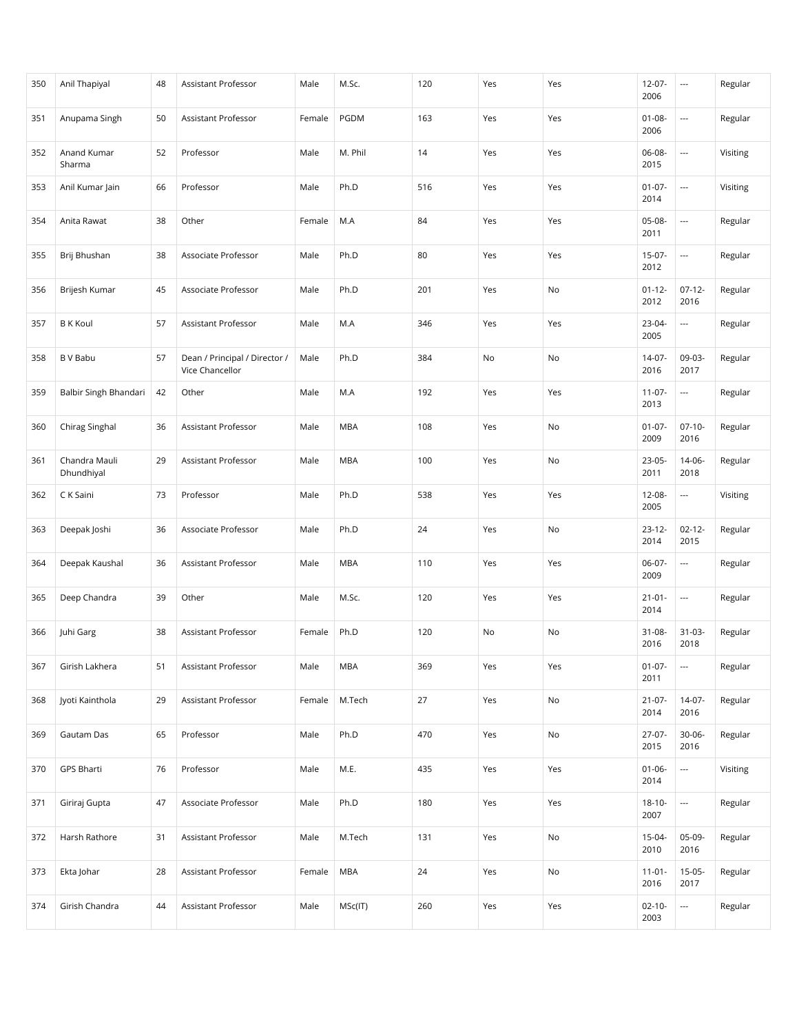| 350 | Anil Thapiyal               | 48 | Assistant Professor                              | Male   | M.Sc.      | 120 | Yes | Yes | $12 - 07 -$<br>2006 | $\cdots$                 | Regular  |
|-----|-----------------------------|----|--------------------------------------------------|--------|------------|-----|-----|-----|---------------------|--------------------------|----------|
| 351 | Anupama Singh               | 50 | <b>Assistant Professor</b>                       | Female | PGDM       | 163 | Yes | Yes | $01 - 08 -$<br>2006 | $\overline{\phantom{a}}$ | Regular  |
| 352 | Anand Kumar<br>Sharma       | 52 | Professor                                        | Male   | M. Phil    | 14  | Yes | Yes | 06-08-<br>2015      | ---                      | Visiting |
| 353 | Anil Kumar Jain             | 66 | Professor                                        | Male   | Ph.D       | 516 | Yes | Yes | $01 - 07 -$<br>2014 | $\overline{\phantom{a}}$ | Visiting |
| 354 | Anita Rawat                 | 38 | Other                                            | Female | M.A        | 84  | Yes | Yes | 05-08-<br>2011      | ---                      | Regular  |
| 355 | Brij Bhushan                | 38 | Associate Professor                              | Male   | Ph.D       | 80  | Yes | Yes | $15-07-$<br>2012    | $\overline{\phantom{a}}$ | Regular  |
| 356 | Brijesh Kumar               | 45 | Associate Professor                              | Male   | Ph.D       | 201 | Yes | No  | $01 - 12 -$<br>2012 | $07-12-$<br>2016         | Regular  |
| 357 | <b>B</b> K Koul             | 57 | Assistant Professor                              | Male   | M.A        | 346 | Yes | Yes | 23-04-<br>2005      | $\overline{\phantom{a}}$ | Regular  |
| 358 | <b>B</b> V Babu             | 57 | Dean / Principal / Director /<br>Vice Chancellor | Male   | Ph.D       | 384 | No  | No  | $14-07-$<br>2016    | 09-03-<br>2017           | Regular  |
| 359 | Balbir Singh Bhandari       | 42 | Other                                            | Male   | M.A        | 192 | Yes | Yes | $11-07-$<br>2013    | ---                      | Regular  |
| 360 | Chirag Singhal              | 36 | Assistant Professor                              | Male   | <b>MBA</b> | 108 | Yes | No  | $01-07-$<br>2009    | $07-10-$<br>2016         | Regular  |
| 361 | Chandra Mauli<br>Dhundhiyal | 29 | Assistant Professor                              | Male   | <b>MBA</b> | 100 | Yes | No  | 23-05-<br>2011      | $14-06-$<br>2018         | Regular  |
| 362 | C K Saini                   | 73 | Professor                                        | Male   | Ph.D       | 538 | Yes | Yes | 12-08-<br>2005      | ---                      | Visiting |
| 363 | Deepak Joshi                | 36 | Associate Professor                              | Male   | Ph.D       | 24  | Yes | No  | $23 - 12 -$<br>2014 | $02 - 12 -$<br>2015      | Regular  |
| 364 | Deepak Kaushal              | 36 | Assistant Professor                              | Male   | <b>MBA</b> | 110 | Yes | Yes | $06-07-$<br>2009    | ---                      | Regular  |
| 365 | Deep Chandra                | 39 | Other                                            | Male   | M.Sc.      | 120 | Yes | Yes | $21 - 01 -$<br>2014 | $\cdots$                 | Regular  |
| 366 | Juhi Garg                   | 38 | Assistant Professor                              | Female | Ph.D       | 120 | No  | No  | $31 - 08 -$<br>2016 | $31-03-$<br>2018         | Regular  |
| 367 | Girish Lakhera              | 51 | Assistant Professor                              | Male   | <b>MBA</b> | 369 | Yes | Yes | $01-07-$<br>2011    | $\overline{\phantom{a}}$ | Regular  |
| 368 | Jyoti Kainthola             | 29 | Assistant Professor                              | Female | M.Tech     | 27  | Yes | No  | $21 - 07 -$<br>2014 | $14-07-$<br>2016         | Regular  |
| 369 | Gautam Das                  | 65 | Professor                                        | Male   | Ph.D       | 470 | Yes | No  | $27-07-$<br>2015    | $30 - 06 -$<br>2016      | Regular  |
| 370 | GPS Bharti                  | 76 | Professor                                        | Male   | M.E.       | 435 | Yes | Yes | $01 - 06 -$<br>2014 | ---                      | Visiting |
| 371 | Giriraj Gupta               | 47 | Associate Professor                              | Male   | Ph.D       | 180 | Yes | Yes | $18 - 10 -$<br>2007 | $\ldots$                 | Regular  |
| 372 | Harsh Rathore               | 31 | Assistant Professor                              | Male   | M.Tech     | 131 | Yes | No  | 15-04-<br>2010      | 05-09-<br>2016           | Regular  |
| 373 | Ekta Johar                  | 28 | Assistant Professor                              | Female | <b>MBA</b> | 24  | Yes | No  | $11 - 01 -$<br>2016 | $15-05-$<br>2017         | Regular  |
| 374 | Girish Chandra              | 44 | Assistant Professor                              | Male   | MSc(IT)    | 260 | Yes | Yes | $02 - 10 -$<br>2003 | $\overline{\phantom{a}}$ | Regular  |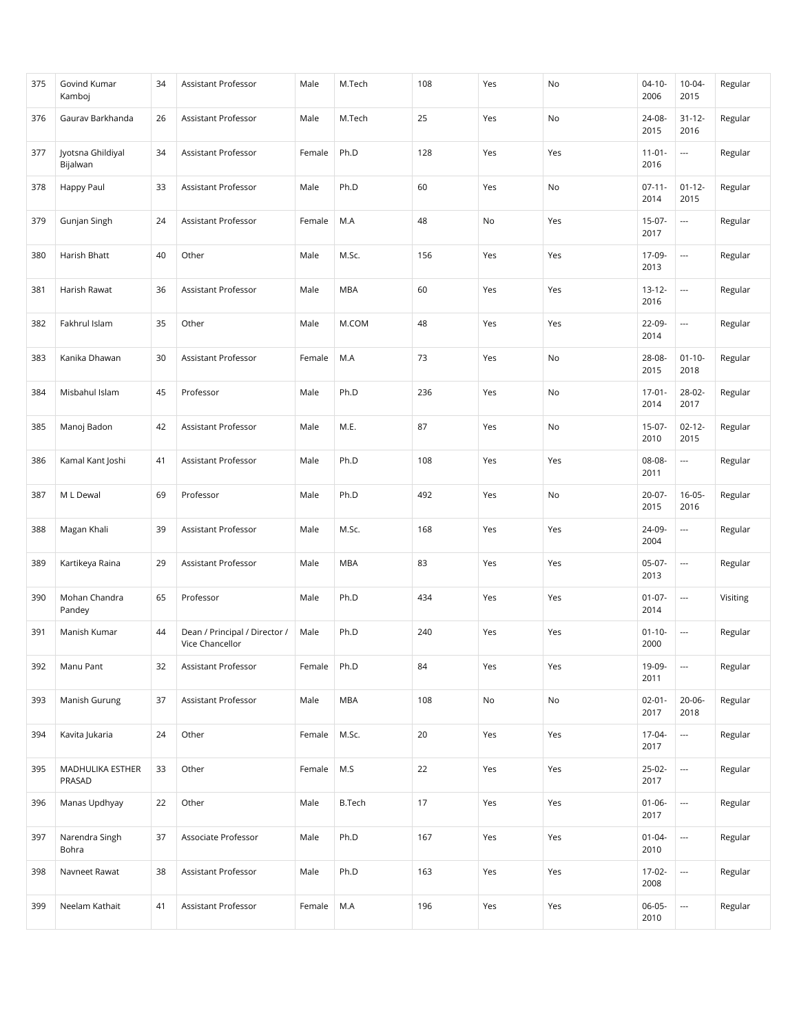| 375 | Govind Kumar<br>Kamboj        | 34 | Assistant Professor                              | Male   | M.Tech        | 108 | Yes | No  | $04 - 10 -$<br>2006 | $10 - 04 -$<br>2015      | Regular  |
|-----|-------------------------------|----|--------------------------------------------------|--------|---------------|-----|-----|-----|---------------------|--------------------------|----------|
| 376 | Gaurav Barkhanda              | 26 | Assistant Professor                              | Male   | M.Tech        | 25  | Yes | No  | 24-08-<br>2015      | $31 - 12 -$<br>2016      | Regular  |
| 377 | Jyotsna Ghildiyal<br>Bijalwan | 34 | <b>Assistant Professor</b>                       | Female | Ph.D          | 128 | Yes | Yes | $11 - 01 -$<br>2016 | $\overline{\phantom{a}}$ | Regular  |
| 378 | Happy Paul                    | 33 | Assistant Professor                              | Male   | Ph.D          | 60  | Yes | No  | $07 - 11 -$<br>2014 | $01 - 12 -$<br>2015      | Regular  |
| 379 | Gunjan Singh                  | 24 | Assistant Professor                              | Female | M.A           | 48  | No  | Yes | $15-07-$<br>2017    | $\overline{\phantom{a}}$ | Regular  |
| 380 | Harish Bhatt                  | 40 | Other                                            | Male   | M.Sc.         | 156 | Yes | Yes | 17-09-<br>2013      | $\overline{\phantom{a}}$ | Regular  |
| 381 | Harish Rawat                  | 36 | Assistant Professor                              | Male   | <b>MBA</b>    | 60  | Yes | Yes | $13 - 12 -$<br>2016 | ---                      | Regular  |
| 382 | Fakhrul Islam                 | 35 | Other                                            | Male   | M.COM         | 48  | Yes | Yes | 22-09-<br>2014      | $\overline{\phantom{a}}$ | Regular  |
| 383 | Kanika Dhawan                 | 30 | <b>Assistant Professor</b>                       | Female | M.A           | 73  | Yes | No  | 28-08-<br>2015      | $01 - 10 -$<br>2018      | Regular  |
| 384 | Misbahul Islam                | 45 | Professor                                        | Male   | Ph.D          | 236 | Yes | No  | $17 - 01 -$<br>2014 | 28-02-<br>2017           | Regular  |
| 385 | Manoj Badon                   | 42 | Assistant Professor                              | Male   | M.E.          | 87  | Yes | No  | $15-07-$<br>2010    | $02 - 12 -$<br>2015      | Regular  |
| 386 | Kamal Kant Joshi              | 41 | Assistant Professor                              | Male   | Ph.D          | 108 | Yes | Yes | 08-08-<br>2011      | $\overline{\phantom{a}}$ | Regular  |
| 387 | M L Dewal                     | 69 | Professor                                        | Male   | Ph.D          | 492 | Yes | No  | $20-07-$<br>2015    | $16 - 05 -$<br>2016      | Regular  |
| 388 | Magan Khali                   | 39 | Assistant Professor                              | Male   | M.Sc.         | 168 | Yes | Yes | 24-09-<br>2004      | $\overline{\phantom{a}}$ | Regular  |
| 389 | Kartikeya Raina               | 29 | Assistant Professor                              | Male   | <b>MBA</b>    | 83  | Yes | Yes | $05-07-$<br>2013    | $\hspace{0.05cm} \ldots$ | Regular  |
| 390 | Mohan Chandra<br>Pandey       | 65 | Professor                                        | Male   | Ph.D          | 434 | Yes | Yes | $01-07-$<br>2014    | $\overline{\phantom{a}}$ | Visiting |
| 391 | Manish Kumar                  | 44 | Dean / Principal / Director /<br>Vice Chancellor | Male   | Ph.D          | 240 | Yes | Yes | $01 - 10 -$<br>2000 | $\overline{\phantom{a}}$ | Regular  |
| 392 | Manu Pant                     | 32 | Assistant Professor                              | Female | Ph.D          | 84  | Yes | Yes | 19-09-<br>2011      | $\overline{a}$           | Regular  |
| 393 | Manish Gurung                 | 37 | Assistant Professor                              | Male   | <b>MBA</b>    | 108 | No  | No  | $02 - 01 -$<br>2017 | $20 - 06 -$<br>2018      | Regular  |
| 394 | Kavita Jukaria                | 24 | Other                                            | Female | M.Sc.         | 20  | Yes | Yes | 17-04-<br>2017      | ---                      | Regular  |
| 395 | MADHULIKA ESTHER<br>PRASAD    | 33 | Other                                            | Female | M.S           | 22  | Yes | Yes | $25-02-$<br>2017    | $\hspace{0.05cm} \ldots$ | Regular  |
| 396 | Manas Updhyay                 | 22 | Other                                            | Male   | <b>B.Tech</b> | 17  | Yes | Yes | $01-06-$<br>2017    | $\hspace{0.05cm} \ldots$ | Regular  |
| 397 | Narendra Singh<br>Bohra       | 37 | Associate Professor                              | Male   | Ph.D          | 167 | Yes | Yes | $01 - 04 -$<br>2010 | ---                      | Regular  |
| 398 | Navneet Rawat                 | 38 | Assistant Professor                              | Male   | Ph.D          | 163 | Yes | Yes | $17-02-$<br>2008    | $\hspace{0.05cm} \ldots$ | Regular  |
| 399 | Neelam Kathait                | 41 | Assistant Professor                              | Female | M.A           | 196 | Yes | Yes | $06-05-$<br>2010    | ---                      | Regular  |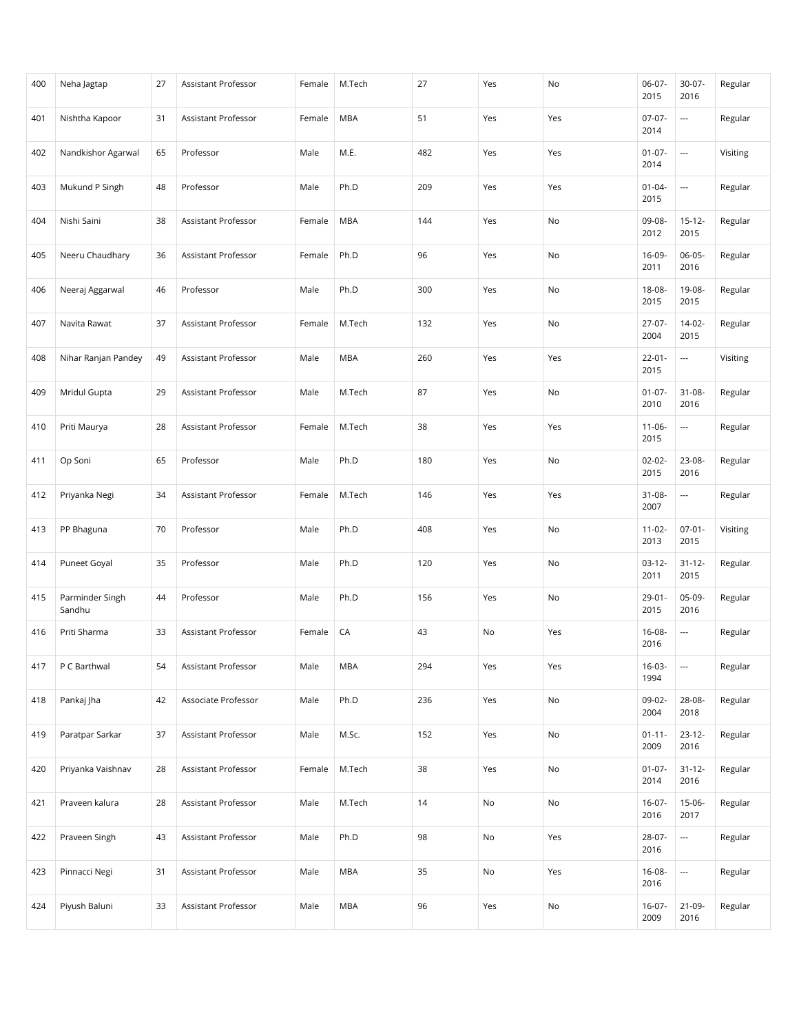| 400 | Neha Jagtap               | 27 | Assistant Professor        | Female | M.Tech     | 27  | Yes | No  | $06-07-$<br>2015    | 30-07-<br>2016           | Regular  |
|-----|---------------------------|----|----------------------------|--------|------------|-----|-----|-----|---------------------|--------------------------|----------|
| 401 | Nishtha Kapoor            | 31 | <b>Assistant Professor</b> | Female | <b>MBA</b> | 51  | Yes | Yes | $07-07-$<br>2014    | $\overline{\phantom{a}}$ | Regular  |
| 402 | Nandkishor Agarwal        | 65 | Professor                  | Male   | M.E.       | 482 | Yes | Yes | $01 - 07 -$<br>2014 | ---                      | Visiting |
| 403 | Mukund P Singh            | 48 | Professor                  | Male   | Ph.D       | 209 | Yes | Yes | $01 - 04 -$<br>2015 | $\overline{\phantom{a}}$ | Regular  |
| 404 | Nishi Saini               | 38 | Assistant Professor        | Female | <b>MBA</b> | 144 | Yes | No  | 09-08-<br>2012      | $15 - 12 -$<br>2015      | Regular  |
| 405 | Neeru Chaudhary           | 36 | Assistant Professor        | Female | Ph.D       | 96  | Yes | No  | 16-09-<br>2011      | $06-05-$<br>2016         | Regular  |
| 406 | Neeraj Aggarwal           | 46 | Professor                  | Male   | Ph.D       | 300 | Yes | No  | $18 - 08 -$<br>2015 | 19-08-<br>2015           | Regular  |
| 407 | Navita Rawat              | 37 | Assistant Professor        | Female | M.Tech     | 132 | Yes | No  | $27-07-$<br>2004    | $14-02-$<br>2015         | Regular  |
| 408 | Nihar Ranjan Pandey       | 49 | Assistant Professor        | Male   | <b>MBA</b> | 260 | Yes | Yes | $22 - 01 -$<br>2015 | ---                      | Visiting |
| 409 | Mridul Gupta              | 29 | Assistant Professor        | Male   | M.Tech     | 87  | Yes | No  | $01-07-$<br>2010    | $31 - 08 -$<br>2016      | Regular  |
| 410 | Priti Maurya              | 28 | Assistant Professor        | Female | M.Tech     | 38  | Yes | Yes | $11 - 06 -$<br>2015 | ---                      | Regular  |
| 411 | Op Soni                   | 65 | Professor                  | Male   | Ph.D       | 180 | Yes | No  | $02 - 02 -$<br>2015 | 23-08-<br>2016           | Regular  |
| 412 | Priyanka Negi             | 34 | Assistant Professor        | Female | M.Tech     | 146 | Yes | Yes | $31 - 08 -$<br>2007 | ---                      | Regular  |
| 413 | PP Bhaguna                | 70 | Professor                  | Male   | Ph.D       | 408 | Yes | No  | $11 - 02 -$<br>2013 | $07-01-$<br>2015         | Visiting |
| 414 | Puneet Goyal              | 35 | Professor                  | Male   | Ph.D       | 120 | Yes | No  | $03-12-$<br>2011    | $31 - 12 -$<br>2015      | Regular  |
| 415 | Parminder Singh<br>Sandhu | 44 | Professor                  | Male   | Ph.D       | 156 | Yes | No  | $29 - 01 -$<br>2015 | 05-09-<br>2016           | Regular  |
| 416 | Priti Sharma              | 33 | Assistant Professor        | Female | CA         | 43  | No  | Yes | $16 - 08 -$<br>2016 | $\overline{\phantom{a}}$ | Regular  |
| 417 | P C Barthwal              | 54 | Assistant Professor        | Male   | <b>MBA</b> | 294 | Yes | Yes | $16-03-$<br>1994    | $\overline{\phantom{a}}$ | Regular  |
| 418 | Pankaj Jha                | 42 | Associate Professor        | Male   | Ph.D       | 236 | Yes | No  | 09-02-<br>2004      | 28-08-<br>2018           | Regular  |
| 419 | Paratpar Sarkar           | 37 | Assistant Professor        | Male   | M.Sc.      | 152 | Yes | No  | $01 - 11 -$<br>2009 | $23 - 12 -$<br>2016      | Regular  |
| 420 | Priyanka Vaishnav         | 28 | Assistant Professor        | Female | M.Tech     | 38  | Yes | No  | $01 - 07 -$<br>2014 | $31 - 12 -$<br>2016      | Regular  |
| 421 | Praveen kalura            | 28 | Assistant Professor        | Male   | M.Tech     | 14  | No  | No  | $16-07-$<br>2016    | $15 - 06 -$<br>2017      | Regular  |
| 422 | Praveen Singh             | 43 | Assistant Professor        | Male   | Ph.D       | 98  | No  | Yes | 28-07-<br>2016      | ---                      | Regular  |
| 423 | Pinnacci Negi             | 31 | Assistant Professor        | Male   | MBA        | 35  | No  | Yes | 16-08-<br>2016      | $\hspace{0.05cm} \ldots$ | Regular  |
| 424 | Piyush Baluni             | 33 | Assistant Professor        | Male   | <b>MBA</b> | 96  | Yes | No  | $16-07-$<br>2009    | $21-09-$<br>2016         | Regular  |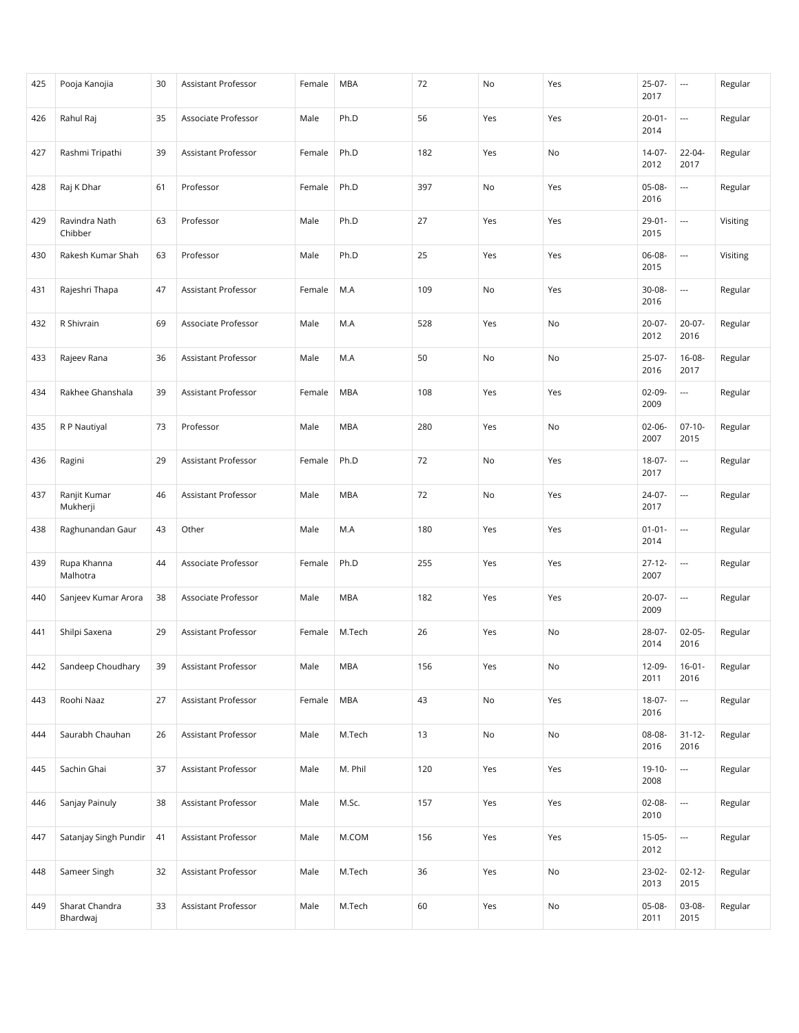| 425 | Pooja Kanojia              | 30 | Assistant Professor | Female | <b>MBA</b> | 72  | No  | Yes           | $25-07-$<br>2017    | $\hspace{0.05cm} \ldots$ | Regular  |
|-----|----------------------------|----|---------------------|--------|------------|-----|-----|---------------|---------------------|--------------------------|----------|
| 426 | Rahul Raj                  | 35 | Associate Professor | Male   | Ph.D       | 56  | Yes | Yes           | $20 - 01 -$<br>2014 | ---                      | Regular  |
| 427 | Rashmi Tripathi            | 39 | Assistant Professor | Female | Ph.D       | 182 | Yes | No            | $14-07-$<br>2012    | 22-04-<br>2017           | Regular  |
| 428 | Raj K Dhar                 | 61 | Professor           | Female | Ph.D       | 397 | No  | Yes           | $05-08-$<br>2016    | $\sim$                   | Regular  |
| 429 | Ravindra Nath<br>Chibber   | 63 | Professor           | Male   | Ph.D       | 27  | Yes | Yes           | $29 - 01 -$<br>2015 | $\overline{\phantom{a}}$ | Visiting |
| 430 | Rakesh Kumar Shah          | 63 | Professor           | Male   | Ph.D       | 25  | Yes | Yes           | 06-08-<br>2015      | ---                      | Visiting |
| 431 | Rajeshri Thapa             | 47 | Assistant Professor | Female | M.A        | 109 | No  | Yes           | 30-08-<br>2016      | $\overline{\phantom{a}}$ | Regular  |
| 432 | R Shivrain                 | 69 | Associate Professor | Male   | M.A        | 528 | Yes | No            | $20 - 07 -$<br>2012 | $20-07-$<br>2016         | Regular  |
| 433 | Rajeev Rana                | 36 | Assistant Professor | Male   | M.A        | 50  | No  | No            | 25-07-<br>2016      | $16 - 08 -$<br>2017      | Regular  |
| 434 | Rakhee Ghanshala           | 39 | Assistant Professor | Female | <b>MBA</b> | 108 | Yes | Yes           | $02-09-$<br>2009    | $\overline{\phantom{a}}$ | Regular  |
| 435 | R P Nautiyal               | 73 | Professor           | Male   | <b>MBA</b> | 280 | Yes | No            | $02 - 06 -$<br>2007 | $07-10-$<br>2015         | Regular  |
| 436 | Ragini                     | 29 | Assistant Professor | Female | Ph.D       | 72  | No  | Yes           | 18-07-<br>2017      | $\sim$                   | Regular  |
| 437 | Ranjit Kumar<br>Mukherji   | 46 | Assistant Professor | Male   | <b>MBA</b> | 72  | No  | Yes           | 24-07-<br>2017      | ---                      | Regular  |
| 438 | Raghunandan Gaur           | 43 | Other               | Male   | M.A        | 180 | Yes | Yes           | $01 - 01 -$<br>2014 | $\overline{\phantom{a}}$ | Regular  |
| 439 | Rupa Khanna<br>Malhotra    | 44 | Associate Professor | Female | Ph.D       | 255 | Yes | Yes           | $27 - 12 -$<br>2007 | $\overline{\phantom{a}}$ | Regular  |
| 440 | Sanjeev Kumar Arora        | 38 | Associate Professor | Male   | <b>MBA</b> | 182 | Yes | Yes           | $20-07-$<br>2009    | $\overline{\phantom{a}}$ | Regular  |
| 441 | Shilpi Saxena              | 29 | Assistant Professor | Female | M.Tech     | 26  | Yes | No            | 28-07-<br>2014      | $02-05-$<br>2016         | Regular  |
| 442 | Sandeep Choudhary          | 39 | Assistant Professor | Male   | <b>MBA</b> | 156 | Yes | No            | 12-09-<br>2011      | $16-01 -$<br>2016        | Regular  |
| 443 | Roohi Naaz                 | 27 | Assistant Professor | Female | <b>MBA</b> | 43  | No  | Yes           | 18-07-<br>2016      | ---                      | Regular  |
| 444 | Saurabh Chauhan            | 26 | Assistant Professor | Male   | M.Tech     | 13  | No  | No            | 08-08-<br>2016      | $31 - 12 -$<br>2016      | Regular  |
| 445 | Sachin Ghai                | 37 | Assistant Professor | Male   | M. Phil    | 120 | Yes | Yes           | 19-10-<br>2008      | ---                      | Regular  |
| 446 | Sanjay Painuly             | 38 | Assistant Professor | Male   | M.Sc.      | 157 | Yes | Yes           | $02 - 08 -$<br>2010 | $\ldots$                 | Regular  |
| 447 | Satanjay Singh Pundir      | 41 | Assistant Professor | Male   | M.COM      | 156 | Yes | Yes           | $15-05-$<br>2012    | $\overline{\phantom{a}}$ | Regular  |
| 448 | Sameer Singh               | 32 | Assistant Professor | Male   | M.Tech     | 36  | Yes | No            | 23-02-<br>2013      | $02 - 12 -$<br>2015      | Regular  |
| 449 | Sharat Chandra<br>Bhardwaj | 33 | Assistant Professor | Male   | M.Tech     | 60  | Yes | $\mathsf{No}$ | 05-08-<br>2011      | 03-08-<br>2015           | Regular  |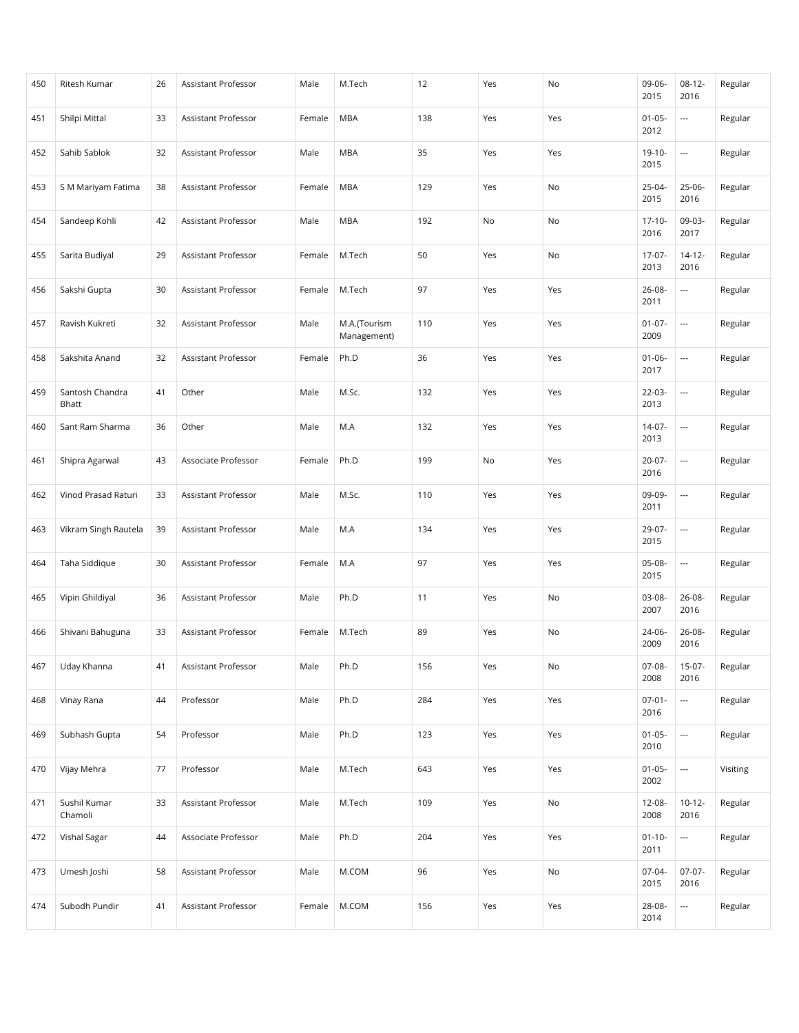| 450 | Ritesh Kumar             | 26 | Assistant Professor        | Male   | M.Tech                      | 12  | Yes | No  | 09-06-<br>2015      | $08-12-$<br>2016         | Regular  |
|-----|--------------------------|----|----------------------------|--------|-----------------------------|-----|-----|-----|---------------------|--------------------------|----------|
| 451 | Shilpi Mittal            | 33 | <b>Assistant Professor</b> | Female | <b>MBA</b>                  | 138 | Yes | Yes | $01 - 05 -$<br>2012 | $\overline{\phantom{a}}$ | Regular  |
| 452 | Sahib Sablok             | 32 | Assistant Professor        | Male   | <b>MBA</b>                  | 35  | Yes | Yes | $19-10-$<br>2015    | ---                      | Regular  |
| 453 | S M Mariyam Fatima       | 38 | Assistant Professor        | Female | <b>MBA</b>                  | 129 | Yes | No  | $25 - 04 -$<br>2015 | $25-06-$<br>2016         | Regular  |
| 454 | Sandeep Kohli            | 42 | Assistant Professor        | Male   | <b>MBA</b>                  | 192 | No  | No  | $17 - 10 -$<br>2016 | 09-03-<br>2017           | Regular  |
| 455 | Sarita Budiyal           | 29 | <b>Assistant Professor</b> | Female | M.Tech                      | 50  | Yes | No  | $17-07-$<br>2013    | $14 - 12 -$<br>2016      | Regular  |
| 456 | Sakshi Gupta             | 30 | Assistant Professor        | Female | M.Tech                      | 97  | Yes | Yes | 26-08-<br>2011      | $\overline{\phantom{a}}$ | Regular  |
| 457 | Ravish Kukreti           | 32 | Assistant Professor        | Male   | M.A.(Tourism<br>Management) | 110 | Yes | Yes | $01 - 07 -$<br>2009 | $\overline{\phantom{a}}$ | Regular  |
| 458 | Sakshita Anand           | 32 | Assistant Professor        | Female | Ph.D                        | 36  | Yes | Yes | $01 - 06 -$<br>2017 | $\overline{\phantom{a}}$ | Regular  |
| 459 | Santosh Chandra<br>Bhatt | 41 | Other                      | Male   | M.Sc.                       | 132 | Yes | Yes | $22 - 03 -$<br>2013 | $\overline{\phantom{a}}$ | Regular  |
| 460 | Sant Ram Sharma          | 36 | Other                      | Male   | M.A                         | 132 | Yes | Yes | 14-07-<br>2013      | ---                      | Regular  |
| 461 | Shipra Agarwal           | 43 | Associate Professor        | Female | Ph.D                        | 199 | No  | Yes | $20-07-$<br>2016    | $\overline{\phantom{a}}$ | Regular  |
| 462 | Vinod Prasad Raturi      | 33 | Assistant Professor        | Male   | M.Sc.                       | 110 | Yes | Yes | 09-09-<br>2011      | $\overline{\phantom{a}}$ | Regular  |
| 463 | Vikram Singh Rautela     | 39 | Assistant Professor        | Male   | M.A                         | 134 | Yes | Yes | 29-07-<br>2015      | $\overline{\phantom{a}}$ | Regular  |
| 464 | Taha Siddique            | 30 | Assistant Professor        | Female | M.A                         | 97  | Yes | Yes | 05-08-<br>2015      | ---                      | Regular  |
| 465 | Vipin Ghildiyal          | 36 | Assistant Professor        | Male   | Ph.D                        | 11  | Yes | No  | 03-08-<br>2007      | $26 - 08 -$<br>2016      | Regular  |
| 466 | Shivani Bahuguna         | 33 | Assistant Professor        | Female | M.Tech                      | 89  | Yes | No  | 24-06-<br>2009      | $26 - 08 -$<br>2016      | Regular  |
| 467 | Uday Khanna              | 41 | Assistant Professor        | Male   | Ph.D                        | 156 | Yes | No  | 07-08-<br>2008      | $15-07-$<br>2016         | Regular  |
| 468 | Vinay Rana               | 44 | Professor                  | Male   | Ph.D                        | 284 | Yes | Yes | $07 - 01 -$<br>2016 | ---                      | Regular  |
| 469 | Subhash Gupta            | 54 | Professor                  | Male   | Ph.D                        | 123 | Yes | Yes | $01 - 05 -$<br>2010 |                          | Regular  |
| 470 | Vijay Mehra              | 77 | Professor                  | Male   | M.Tech                      | 643 | Yes | Yes | $01 - 05 -$<br>2002 | $\overline{\phantom{a}}$ | Visiting |
| 471 | Sushil Kumar<br>Chamoli  | 33 | Assistant Professor        | Male   | M.Tech                      | 109 | Yes | No  | 12-08-<br>2008      | $10 - 12 -$<br>2016      | Regular  |
| 472 | Vishal Sagar             | 44 | Associate Professor        | Male   | Ph.D                        | 204 | Yes | Yes | $01 - 10 -$<br>2011 | $\overline{\phantom{a}}$ | Regular  |
| 473 | Umesh Joshi              | 58 | Assistant Professor        | Male   | M.COM                       | 96  | Yes | No  | 07-04-<br>2015      | $07-07-$<br>2016         | Regular  |
| 474 | Subodh Pundir            | 41 | Assistant Professor        | Female | M.COM                       | 156 | Yes | Yes | 28-08-<br>2014      | $\overline{\phantom{a}}$ | Regular  |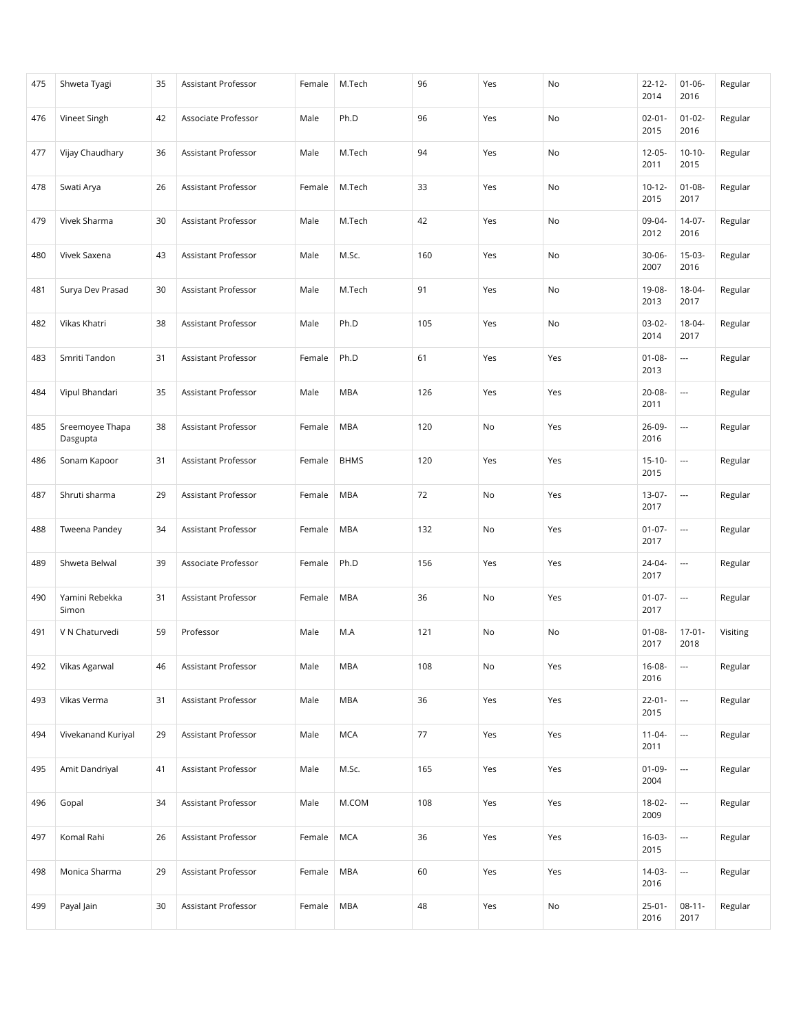| 475 | Shweta Tyagi                | 35 | Assistant Professor        | Female | M.Tech      | 96  | Yes | No  | $22 - 12 -$<br>2014 | $01 - 06 -$<br>2016      | Regular  |
|-----|-----------------------------|----|----------------------------|--------|-------------|-----|-----|-----|---------------------|--------------------------|----------|
| 476 | Vineet Singh                | 42 | Associate Professor        | Male   | Ph.D        | 96  | Yes | No  | $02 - 01 -$<br>2015 | $01 - 02 -$<br>2016      | Regular  |
| 477 | Vijay Chaudhary             | 36 | Assistant Professor        | Male   | M.Tech      | 94  | Yes | No  | $12 - 05 -$<br>2011 | $10-10-$<br>2015         | Regular  |
| 478 | Swati Arya                  | 26 | Assistant Professor        | Female | M.Tech      | 33  | Yes | No  | $10 - 12 -$<br>2015 | $01 - 08 -$<br>2017      | Regular  |
| 479 | Vivek Sharma                | 30 | Assistant Professor        | Male   | M.Tech      | 42  | Yes | No  | 09-04-<br>2012      | $14-07-$<br>2016         | Regular  |
| 480 | Vivek Saxena                | 43 | Assistant Professor        | Male   | M.Sc.       | 160 | Yes | No  | $30 - 06 -$<br>2007 | $15-03-$<br>2016         | Regular  |
| 481 | Surya Dev Prasad            | 30 | Assistant Professor        | Male   | M.Tech      | 91  | Yes | No  | 19-08-<br>2013      | 18-04-<br>2017           | Regular  |
| 482 | Vikas Khatri                | 38 | Assistant Professor        | Male   | Ph.D        | 105 | Yes | No  | $03-02-$<br>2014    | 18-04-<br>2017           | Regular  |
| 483 | Smriti Tandon               | 31 | Assistant Professor        | Female | Ph.D        | 61  | Yes | Yes | $01 - 08 -$<br>2013 | $\hspace{0.05cm} \ldots$ | Regular  |
| 484 | Vipul Bhandari              | 35 | <b>Assistant Professor</b> | Male   | <b>MBA</b>  | 126 | Yes | Yes | 20-08-<br>2011      | $\overline{\phantom{a}}$ | Regular  |
| 485 | Sreemoyee Thapa<br>Dasgupta | 38 | Assistant Professor        | Female | <b>MBA</b>  | 120 | No  | Yes | 26-09-<br>2016      | $\overline{\phantom{a}}$ | Regular  |
| 486 | Sonam Kapoor                | 31 | Assistant Professor        | Female | <b>BHMS</b> | 120 | Yes | Yes | $15 - 10 -$<br>2015 | $\overline{\phantom{a}}$ | Regular  |
| 487 | Shruti sharma               | 29 | Assistant Professor        | Female | <b>MBA</b>  | 72  | No  | Yes | 13-07-<br>2017      | $\overline{\phantom{a}}$ | Regular  |
| 488 | Tweena Pandey               | 34 | Assistant Professor        | Female | <b>MBA</b>  | 132 | No  | Yes | $01 - 07 -$<br>2017 | $\overline{\phantom{a}}$ | Regular  |
| 489 | Shweta Belwal               | 39 | Associate Professor        | Female | Ph.D        | 156 | Yes | Yes | 24-04-<br>2017      | $\overline{\phantom{a}}$ | Regular  |
| 490 | Yamini Rebekka<br>Simon     | 31 | Assistant Professor        | Female | <b>MBA</b>  | 36  | No  | Yes | $01-07-$<br>2017    | $\overline{\phantom{a}}$ | Regular  |
| 491 | V N Chaturvedi              | 59 | Professor                  | Male   | M.A         | 121 | No  | No  | $01 - 08 -$<br>2017 | $17 - 01 -$<br>2018      | Visiting |
| 492 | Vikas Agarwal               | 46 | Assistant Professor        | Male   | <b>MBA</b>  | 108 | No  | Yes | 16-08-<br>2016      | $\hspace{0.05cm} \ldots$ | Regular  |
| 493 | Vikas Verma                 | 31 | Assistant Professor        | Male   | <b>MBA</b>  | 36  | Yes | Yes | $22 - 01 -$<br>2015 | ---                      | Regular  |
| 494 | Vivekanand Kuriyal          | 29 | Assistant Professor        | Male   | <b>MCA</b>  | 77  | Yes | Yes | $11-04-$<br>2011    | $\overline{\phantom{a}}$ | Regular  |
| 495 | Amit Dandriyal              | 41 | Assistant Professor        | Male   | M.Sc.       | 165 | Yes | Yes | $01-09-$<br>2004    | $\overline{\phantom{a}}$ | Regular  |
| 496 | Gopal                       | 34 | Assistant Professor        | Male   | M.COM       | 108 | Yes | Yes | 18-02-<br>2009      | $\scriptstyle\cdots$     | Regular  |
| 497 | Komal Rahi                  | 26 | Assistant Professor        | Female | <b>MCA</b>  | 36  | Yes | Yes | $16-03-$<br>2015    | $\overline{\phantom{a}}$ | Regular  |
| 498 | Monica Sharma               | 29 | Assistant Professor        | Female | <b>MBA</b>  | 60  | Yes | Yes | 14-03-<br>2016      | $\hspace{0.05cm} \ldots$ | Regular  |
| 499 | Payal Jain                  | 30 | Assistant Professor        | Female | <b>MBA</b>  | 48  | Yes | No  | $25 - 01 -$<br>2016 | $08-11-$<br>2017         | Regular  |